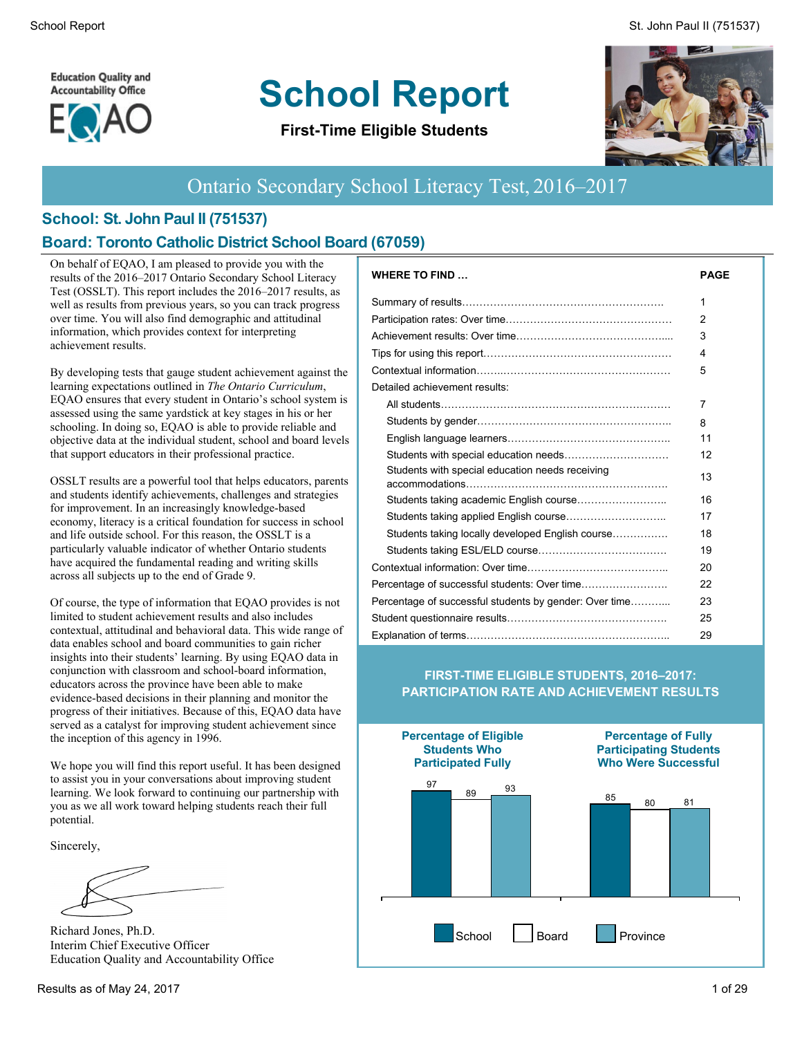**Education Quality and Accountability Office** 



# **School Report**

**First-Time Eligible Students**



#### Ontario Secondary School Literacy Test, 2016–2017

## **School: St. John Paul II (751537)**

#### **Board: Toronto Catholic District School Board (67059)**

On behalf of EQAO, I am pleased to provide you with the results of the 2016–2017 Ontario Secondary School Literacy Test (OSSLT). This report includes the 2016–2017 results, as well as results from previous years, so you can track progress over time. You will also find demographic and attitudinal information, which provides context for interpreting achievement results.

By developing tests that gauge student achievement against the learning expectations outlined in *The Ontario Curriculum*, EQAO ensures that every student in Ontario's school system is assessed using the same yardstick at key stages in his or her schooling. In doing so, EQAO is able to provide reliable and objective data at the individual student, school and board levels that support educators in their professional practice.

OSSLT results are a powerful tool that helps educators, parents and students identify achievements, challenges and strategies for improvement. In an increasingly knowledge-based economy, literacy is a critical foundation for success in school and life outside school. For this reason, the OSSLT is a particularly valuable indicator of whether Ontario students have acquired the fundamental reading and writing skills across all subjects up to the end of Grade 9.

Of course, the type of information that EQAO provides is not limited to student achievement results and also includes contextual, attitudinal and behavioral data. This wide range of data enables school and board communities to gain richer insights into their students' learning. By using EQAO data in conjunction with classroom and school-board information, educators across the province have been able to make evidence-based decisions in their planning and monitor the progress of their initiatives. Because of this, EQAO data have served as a catalyst for improving student achievement since the inception of this agency in 1996.

We hope you will find this report useful. It has been designed to assist you in your conversations about improving student learning. We look forward to continuing our partnership with you as we all work toward helping students reach their full potential.

Sincerely,

Richard Jones, Ph.D. Interim Chief Executive Officer Education Quality and Accountability Office

| <b>WHERE TO FIND</b>                                   | <b>PAGE</b> |
|--------------------------------------------------------|-------------|
|                                                        | 1           |
|                                                        | 2           |
|                                                        | 3           |
|                                                        | 4           |
|                                                        | 5           |
| Detailed achievement results:                          |             |
|                                                        | 7           |
|                                                        | 8           |
|                                                        | 11          |
|                                                        | 12          |
| Students with special education needs receiving        | 13          |
|                                                        | 16          |
|                                                        | 17          |
| Students taking locally developed English course       | 18          |
|                                                        | 19          |
|                                                        | 20          |
|                                                        | 22          |
| Percentage of successful students by gender: Over time | 23          |
|                                                        | 25          |
|                                                        | 29          |

#### **FIRST-TIME ELIGIBLE STUDENTS, 2016–2017: PARTICIPATION RATE AND ACHIEVEMENT RESULTS**

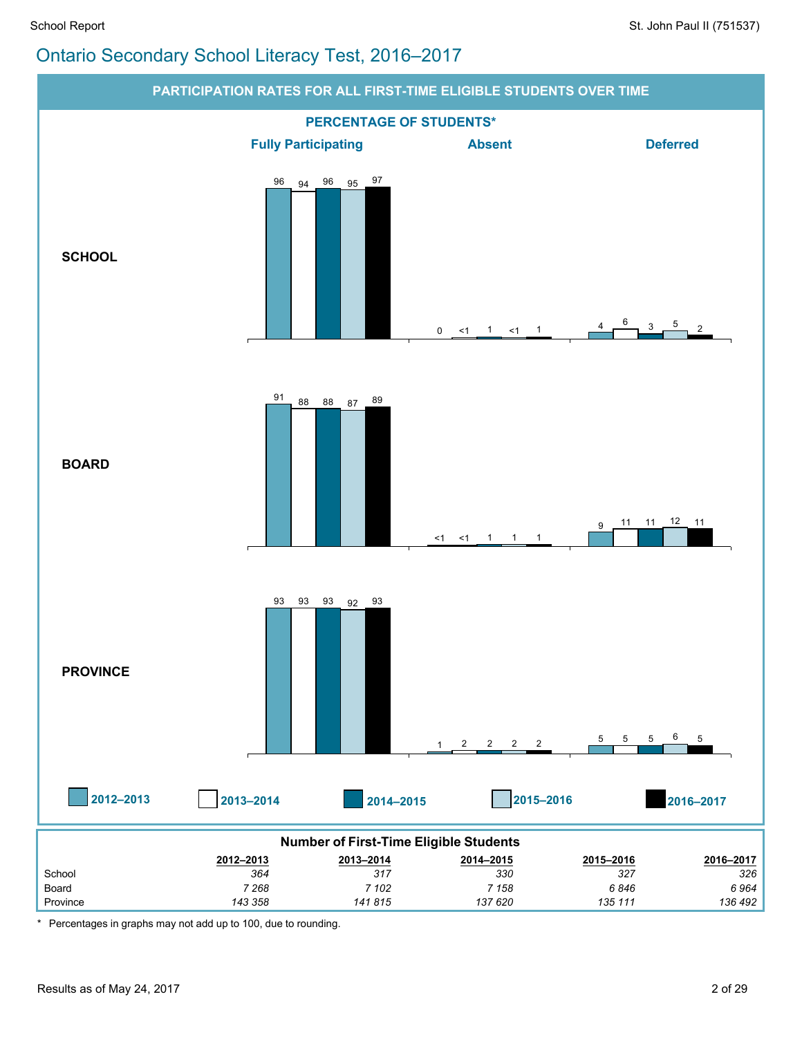

\* Percentages in graphs may not add up to 100, due to rounding.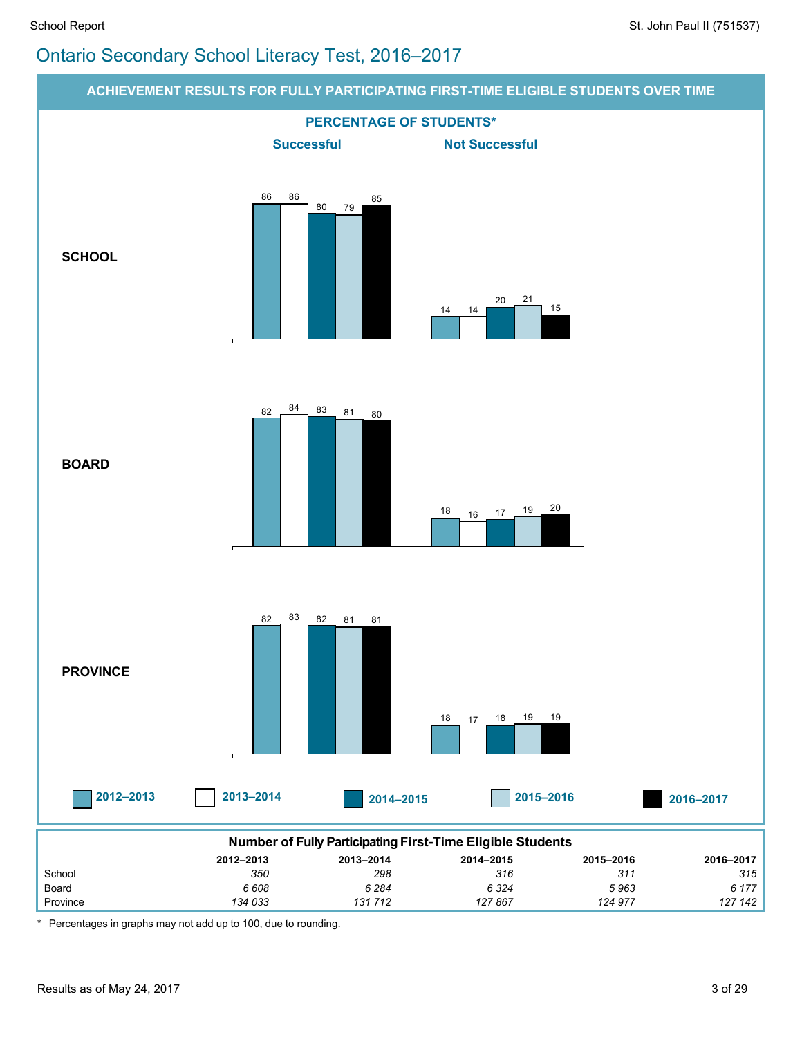

\* Percentages in graphs may not add up to 100, due to rounding.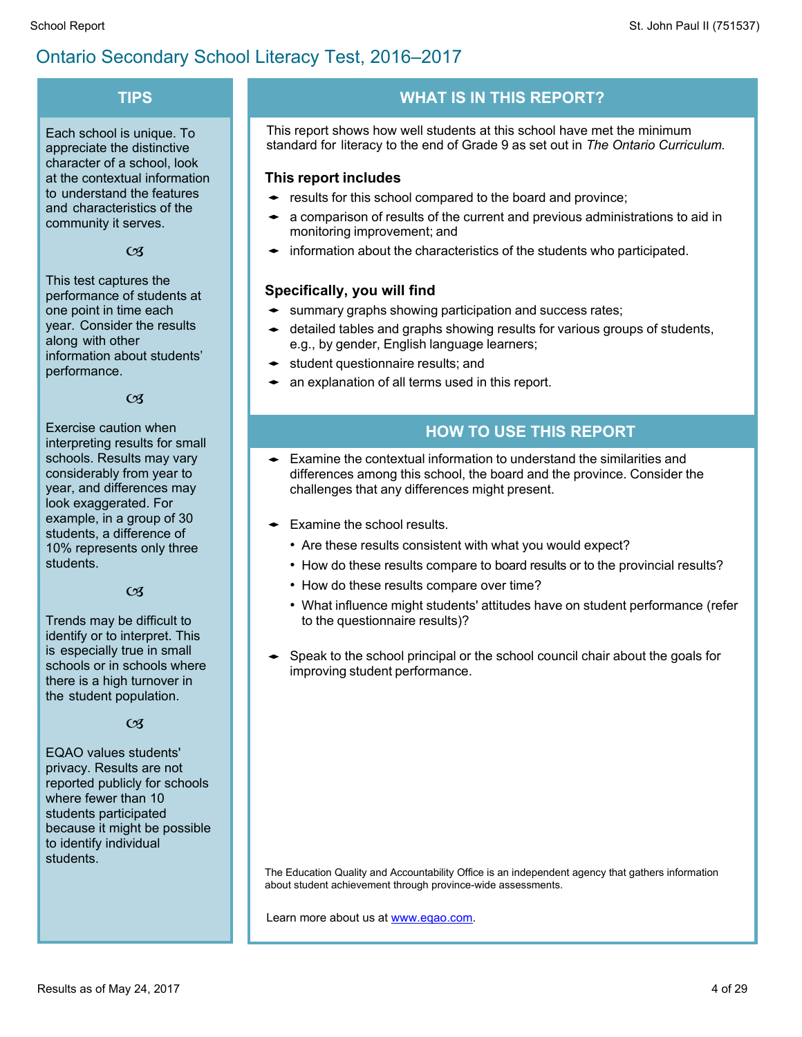#### **TIPS**

Each school is unique. To appreciate the distinctive character of a school, look at the contextual information to understand the features and characteristics of the community it serves.

 $\alpha$ 

This test captures the performance of students at one point in time each year. Consider the results along with other information about students' performance.

 $CZ$ 

Exercise caution when interpreting results for small schools. Results may vary considerably from year to year, and differences may look exaggerated. For example, in a group of 30 students, a difference of 10% represents only three students.

#### $\overline{\mathcal{C}}$

Trends may be difficult to identify or to interpret. This is especially true in small schools or in schools where there is a high turnover in the student population.

#### $C<sub>3</sub>$

EQAO values students' privacy. Results are not reported publicly for schools where fewer than 10 students participated because it might be possible to identify individual students.

#### **WHAT IS IN THIS REPORT?**

This report shows how well students at this school have met the minimum standard for literacy to the end of Grade 9 as set out in *The Ontario Curriculum.*

#### **This report includes**

- $\bullet$  results for this school compared to the board and province;
- $\bullet$  a comparison of results of the current and previous administrations to aid in monitoring improvement; and
- $\bullet$  information about the characteristics of the students who participated.

#### **Specifically, you will find**

- summary graphs showing participation and success rates;
- detailed tables and graphs showing results for various groups of students, e.g., by gender, English language learners;
- $\bullet$  student questionnaire results; and
- $\bullet$  an explanation of all terms used in this report.

#### **HOW TO USE THIS REPORT**

- Examine the contextual information to understand the similarities and differences among this school, the board and the province. Consider the challenges that any differences might present.
- $\leftarrow$  Examine the school results.
	- Are these results consistent with what you would expect?
	- How do these results compare to board results or to the provincial results?
	- How do these results compare over time?
	- What influence might students' attitudes have on student performance (refer to the questionnaire results)?
- Speak to the school principal or the school council chair about the goals for improving student performance.

The Education Quality and Accountability Office is an independent agency that gathers information about student achievement through province-wide assessments.

Learn more about us at [www.eqao.com.](http://www.eqao.com/)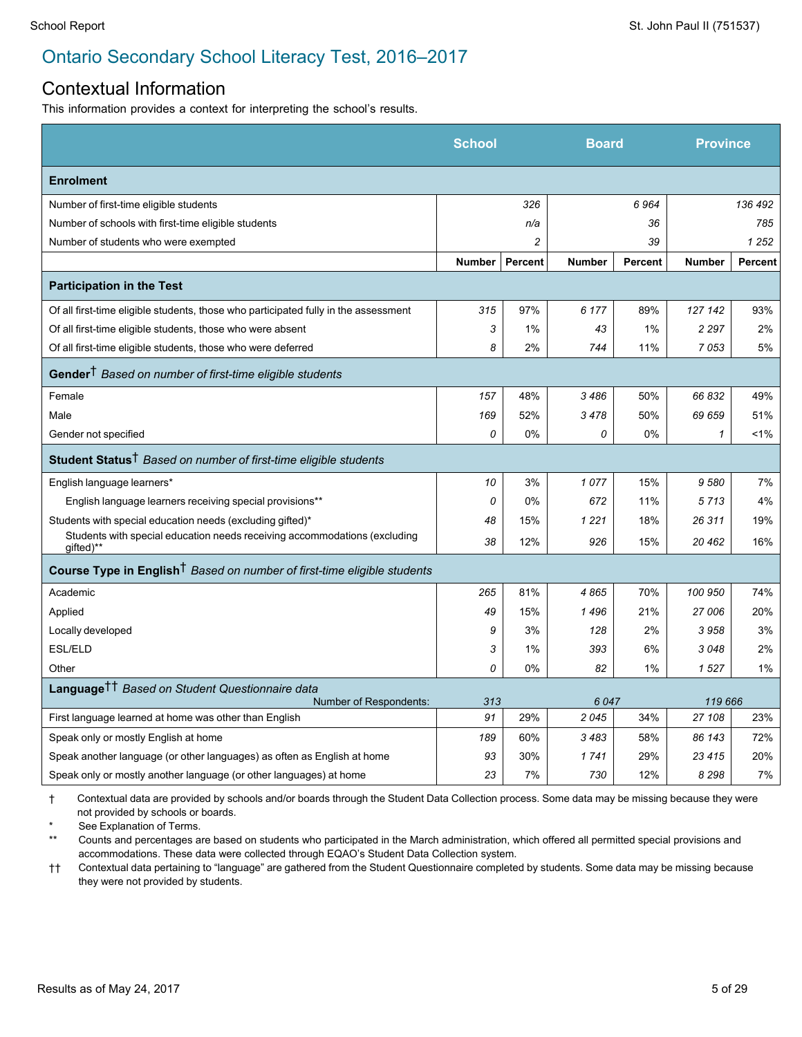#### Contextual Information

This information provides a context for interpreting the school's results.

|                                                                                        | School        |                | <b>Board</b>  |                | <b>Province</b> |                |
|----------------------------------------------------------------------------------------|---------------|----------------|---------------|----------------|-----------------|----------------|
| <b>Enrolment</b>                                                                       |               |                |               |                |                 |                |
| Number of first-time eligible students                                                 |               | 326            |               | 6964           |                 | 136 492        |
| Number of schools with first-time eligible students                                    |               | n/a            |               | 36             |                 | 785            |
| Number of students who were exempted                                                   |               | $\overline{c}$ |               | 39             |                 | 1 252          |
|                                                                                        | <b>Number</b> | Percent        | <b>Number</b> | <b>Percent</b> | <b>Number</b>   | <b>Percent</b> |
| <b>Participation in the Test</b>                                                       |               |                |               |                |                 |                |
| Of all first-time eligible students, those who participated fully in the assessment    | 315           | 97%            | 6 177         | 89%            | 127 142         | 93%            |
| Of all first-time eligible students, those who were absent                             | 3             | 1%             | 43            | 1%             | 2 2 9 7         | 2%             |
| Of all first-time eligible students, those who were deferred                           | 8             | 2%             | 744           | 11%            | 7053            | 5%             |
| Gender <sup>†</sup> Based on number of first-time eligible students                    |               |                |               |                |                 |                |
| Female                                                                                 | 157           | 48%            | 3486          | 50%            | 66832           | 49%            |
| Male                                                                                   | 169           | 52%            | 3478          | 50%            | 69 659          | 51%            |
| Gender not specified                                                                   | 0             | 0%             | 0             | 0%             | $\mathcal I$    | $1\%$          |
| Student Status <sup>†</sup> Based on number of first-time eligible students            |               |                |               |                |                 |                |
| English language learners*                                                             | 10            | 3%             | 1077          | 15%            | 9580            | 7%             |
| English language learners receiving special provisions**                               | 0             | 0%             | 672           | 11%            | 5713            | 4%             |
| Students with special education needs (excluding gifted)*                              | 48            | 15%            | 1 2 2 1       | 18%            | 26 311          | 19%            |
| Students with special education needs receiving accommodations (excluding<br>gifted)** | 38            | 12%            | 926           | 15%            | 20 462          | 16%            |
| Course Type in English <sup>†</sup> Based on number of first-time eligible students    |               |                |               |                |                 |                |
| Academic                                                                               | 265           | 81%            | 4865          | 70%            | 100 950         | 74%            |
| Applied                                                                                | 49            | 15%            | 1496          | 21%            | 27 006          | 20%            |
| Locally developed                                                                      | 9             | 3%             | 128           | 2%             | 3958            | 3%             |
| <b>ESL/ELD</b>                                                                         | 3             | 1%             | 393           | 6%             | 3048            | 2%             |
| Other                                                                                  | 0             | 0%             | 82            | 1%             | 1527            | $1\%$          |
| Language <sup>††</sup> Based on Student Questionnaire data<br>Number of Respondents:   | 313           |                | 6047          |                | 119 666         |                |
| First language learned at home was other than English                                  | 91            | 29%            | 2045          | 34%            | 27 108          | 23%            |
| Speak only or mostly English at home                                                   | 189           | 60%            | 3483          | 58%            | 86 143          | 72%            |
| Speak another language (or other languages) as often as English at home                | 93            | 30%            | 1741          | 29%            | 23 4 15         | 20%            |
| Speak only or mostly another language (or other languages) at home                     | 23            | 7%             | 730           | 12%            | 8 2 9 8         | 7%             |
|                                                                                        |               |                |               |                |                 |                |

† Contextual data are provided by schools and/or boards through the Student Data Collection process. Some data may be missing because they were not provided by schools or boards.

See Explanation of Terms.

\*\* Counts and percentages are based on students who participated in the March administration, which offered all permitted special provisions and accommodations. These data were collected through EQAO's Student Data Collection system.

†† Contextual data pertaining to "language" are gathered from the Student Questionnaire completed by students. Some data may be missing because they were not provided by students.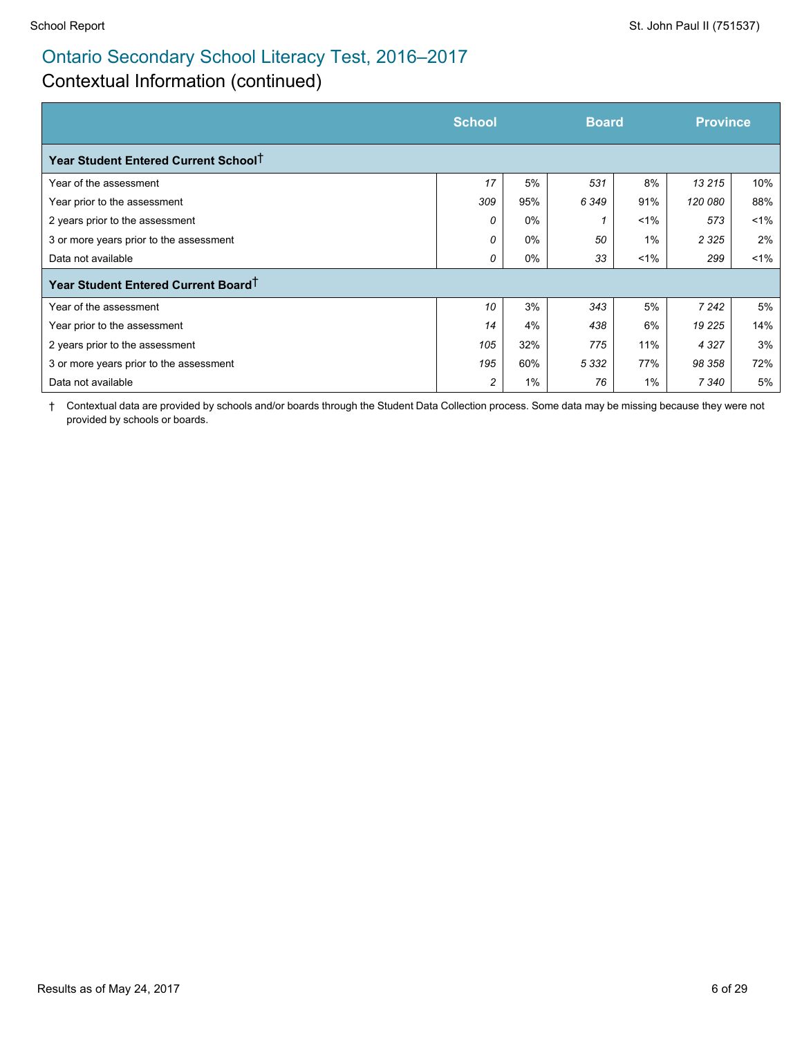## Contextual Information (continued)

|                                                  | <b>School</b> | <b>Board</b> |         |         | <b>Province</b> |       |
|--------------------------------------------------|---------------|--------------|---------|---------|-----------------|-------|
| Year Student Entered Current School <sup>T</sup> |               |              |         |         |                 |       |
| Year of the assessment                           | 17            | 5%           | 531     | 8%      | 13 215          | 10%   |
| Year prior to the assessment                     | 309           | 95%          | 6349    | 91%     | 120 080         | 88%   |
| 2 years prior to the assessment                  | 0             | $0\%$        |         | $1\%$   | 573             | $1\%$ |
| 3 or more years prior to the assessment          | $\Omega$      | $0\%$        | 50      | 1%      | 2 3 2 5         | 2%    |
| Data not available                               | 0             | 0%           | 33      | $< 1\%$ | 299             | $1\%$ |
| Year Student Entered Current Board <sup>+</sup>  |               |              |         |         |                 |       |
| Year of the assessment                           | 10            | 3%           | 343     | 5%      | 7 2 4 2         | 5%    |
| Year prior to the assessment                     | 14            | 4%           | 438     | 6%      | 19 225          | 14%   |
| 2 years prior to the assessment                  | 105           | 32%          | 775     | 11%     | 4 3 2 7         | 3%    |
| 3 or more years prior to the assessment          | 195           | 60%          | 5 3 3 2 | 77%     | 98 358          | 72%   |
| Data not available                               | 2             | $1\%$        | 76      | 1%      | 7 340           | 5%    |

† Contextual data are provided by schools and/or boards through the Student Data Collection process. Some data may be missing because they were not provided by schools or boards.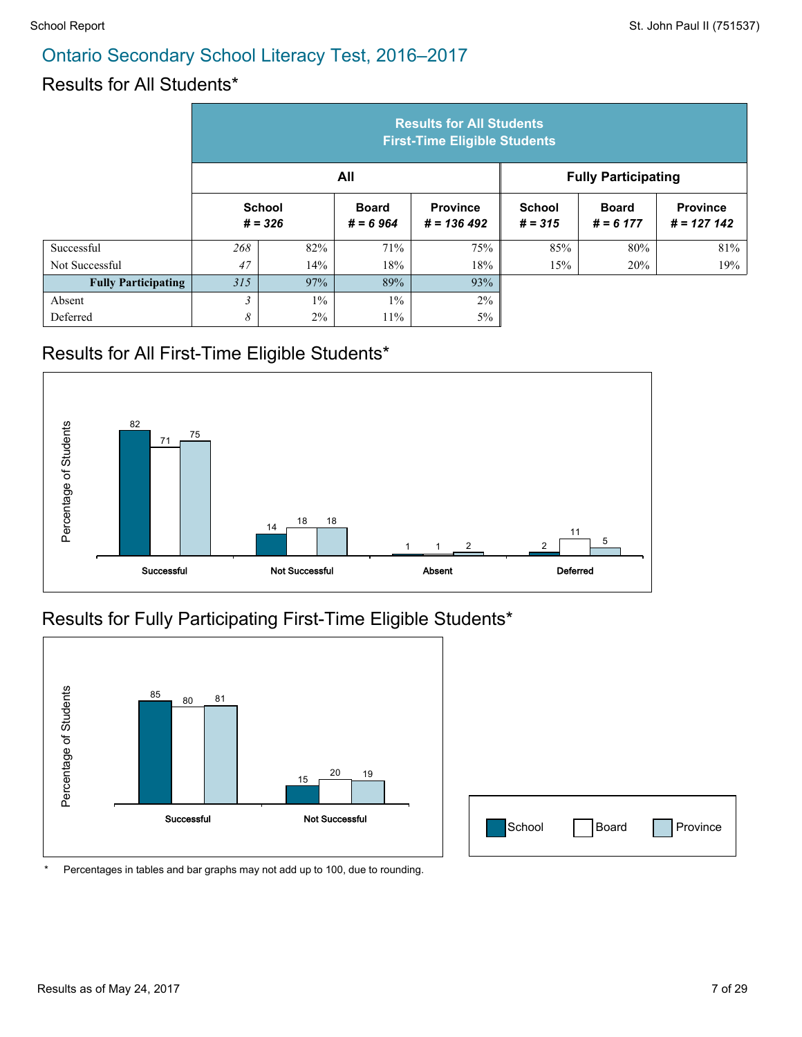### Results for All Students\*

|                            | <b>Results for All Students</b><br><b>First-Time Eligible Students</b> |       |                            |                                  |                            |                             |                                 |  |  |
|----------------------------|------------------------------------------------------------------------|-------|----------------------------|----------------------------------|----------------------------|-----------------------------|---------------------------------|--|--|
|                            |                                                                        |       | All                        |                                  | <b>Fully Participating</b> |                             |                                 |  |  |
|                            | <b>School</b><br>$# = 326$                                             |       | <b>Board</b><br>$# = 6964$ | <b>Province</b><br>$# = 136 492$ | <b>School</b><br>$# = 315$ | <b>Board</b><br>$# = 6 177$ | <b>Province</b><br>$# = 127142$ |  |  |
| Successful                 | 268                                                                    | 82%   | 71%                        | 75%                              | 85%                        | 80%                         | 81%                             |  |  |
| Not Successful             | 47                                                                     | 14%   | 18%                        | 18%                              | 15%                        | 20%                         | 19%                             |  |  |
| <b>Fully Participating</b> | 315                                                                    | 97%   | 89%                        | 93%                              |                            |                             |                                 |  |  |
| Absent                     | $\overline{\mathbf{3}}$                                                | $1\%$ | $1\%$                      | 2%                               |                            |                             |                                 |  |  |
| Deferred                   | 8                                                                      | $2\%$ | $11\%$                     | 5%                               |                            |                             |                                 |  |  |

## Results for All First-Time Eligible Students\*



#### Results for Fully Participating First-Time Eligible Students\*



| School | Board | Province |
|--------|-------|----------|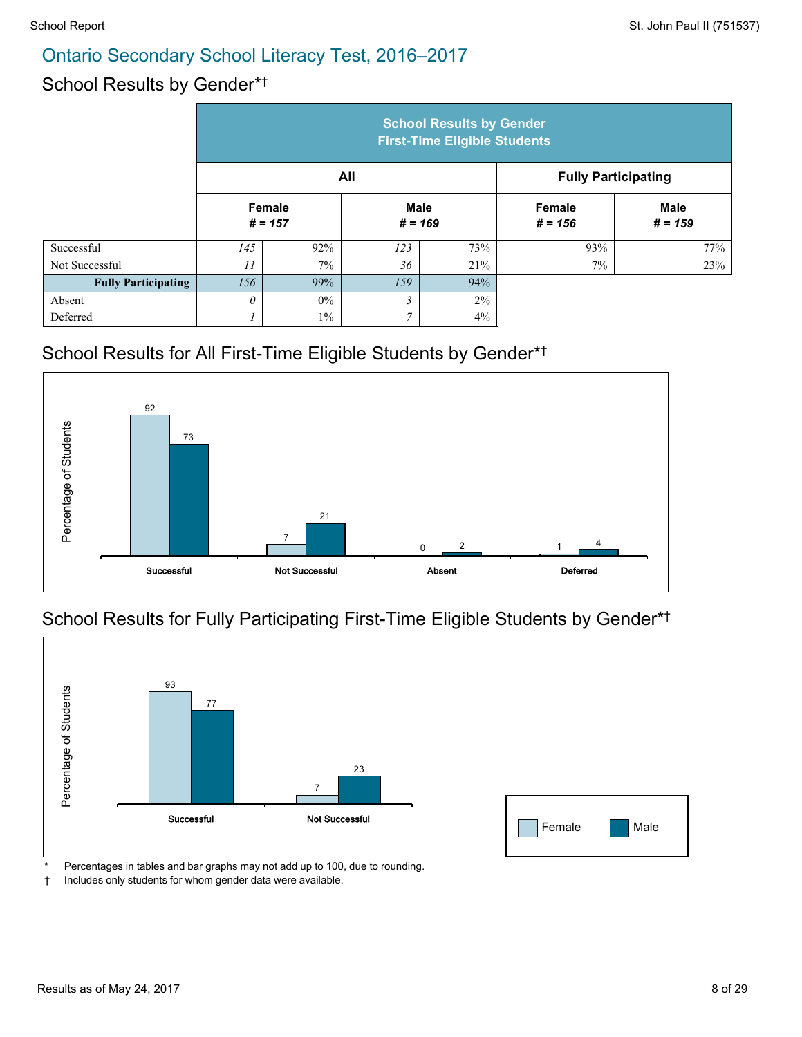#### School Results by Gender\* †

|                            | <b>School Results by Gender</b><br><b>First-Time Eligible Students</b> |                     |                |                          |                            |                          |  |
|----------------------------|------------------------------------------------------------------------|---------------------|----------------|--------------------------|----------------------------|--------------------------|--|
|                            |                                                                        |                     | All            |                          | <b>Fully Participating</b> |                          |  |
|                            |                                                                        | Female<br>$# = 157$ |                | <b>Male</b><br>$# = 169$ | <b>Female</b><br>$# = 156$ | <b>Male</b><br>$# = 159$ |  |
| Successful                 | 145                                                                    | 92%                 | 123            | 73%                      | 93%                        | 77%                      |  |
| Not Successful             | 11                                                                     | $7\%$               | 36             | 21%                      | $7\%$                      | 23%                      |  |
| <b>Fully Participating</b> | 156                                                                    | 99%                 | 159            | 94%                      |                            |                          |  |
| Absent                     | $\theta$                                                               | $0\%$               | 3              | $2\%$                    |                            |                          |  |
| Deferred                   |                                                                        | $1\%$               | $\overline{7}$ | 4%                       |                            |                          |  |

#### School Results for All First-Time Eligible Students by Gender\* †



#### School Results for Fully Participating First-Time Eligible Students by Gender\* †



| Female<br>l s | Male<br><b>Service Service</b> |
|---------------|--------------------------------|

Percentages in tables and bar graphs may not add up to 100, due to rounding.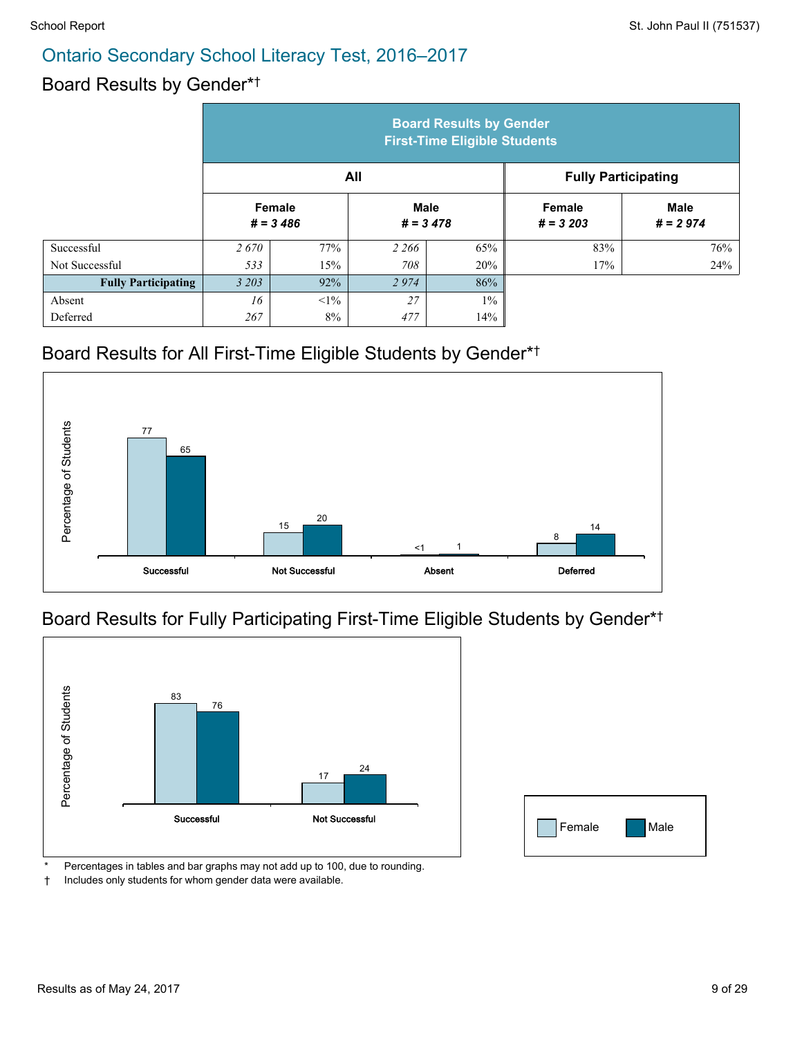#### Board Results by Gender\* †

|                            | <b>Board Results by Gender</b><br><b>First-Time Eligible Students</b> |                       |                            |                            |                      |                           |  |
|----------------------------|-----------------------------------------------------------------------|-----------------------|----------------------------|----------------------------|----------------------|---------------------------|--|
|                            |                                                                       |                       | All                        | <b>Fully Participating</b> |                      |                           |  |
|                            |                                                                       | Female<br>$# = 3,486$ | <b>Male</b><br>$# = 3,478$ |                            | Female<br>$# = 3203$ | <b>Male</b><br>$# = 2974$ |  |
| Successful                 | 2670                                                                  | 77%                   | 2 2 6 6                    | 65%                        | 83%                  | 76%                       |  |
| Not Successful             | 533                                                                   | 15%                   | 708                        | 20%                        | 17%                  | 24%                       |  |
| <b>Fully Participating</b> | 3 2 0 3                                                               | 92%                   | 2974                       | 86%                        |                      |                           |  |
| Absent                     | 16                                                                    | $<1\%$                | 27                         | $1\%$                      |                      |                           |  |
| Deferred                   | 267                                                                   | 8%                    | 477                        | 14%                        |                      |                           |  |

#### Board Results for All First-Time Eligible Students by Gender\* †



#### Board Results for Fully Participating First-Time Eligible Students by Gender\* †



| Female | Male |
|--------|------|

Percentages in tables and bar graphs may not add up to 100, due to rounding.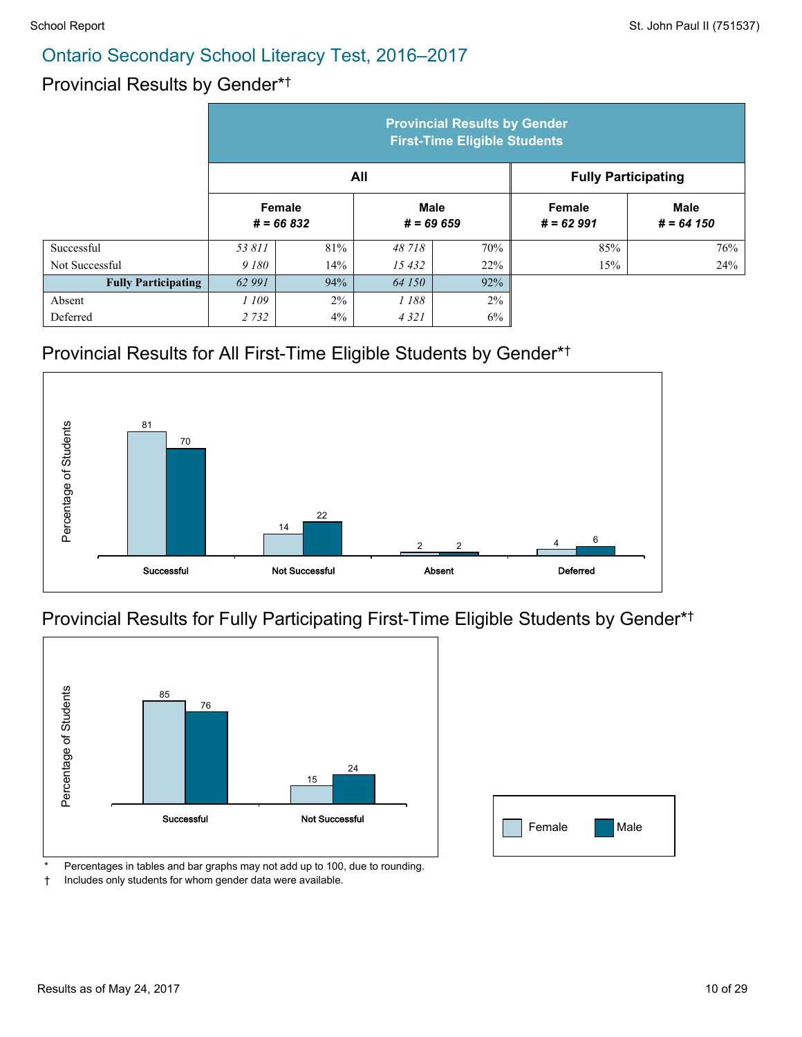#### Provincial Results by Gender\* †

|                            | <b>Provincial Results by Gender</b><br><b>First-Time Eligible Students</b> |                        |                            |                            |                              |                             |  |  |
|----------------------------|----------------------------------------------------------------------------|------------------------|----------------------------|----------------------------|------------------------------|-----------------------------|--|--|
|                            |                                                                            |                        | All                        | <b>Fully Participating</b> |                              |                             |  |  |
|                            |                                                                            | Female<br>$# = 66 832$ | <b>Male</b><br>$# = 69659$ |                            | <b>Female</b><br>$# = 62991$ | <b>Male</b><br>$# = 64 150$ |  |  |
| Successful                 | 53 811                                                                     | 81%                    | 48 718                     | 70%                        | 85%                          | 76%                         |  |  |
| Not Successful             | 9 180                                                                      | 14%                    | 15432                      | 22%                        | 15%                          | 24%                         |  |  |
| <b>Fully Participating</b> | 62 991                                                                     | 94%                    | 64 150                     | 92%                        |                              |                             |  |  |
| Absent                     | 1 109                                                                      | 2%                     | 1 188                      | 2%                         |                              |                             |  |  |
| Deferred                   | 2 7 3 2                                                                    | 4%                     | 4 3 2 1                    | 6%                         |                              |                             |  |  |

#### Provincial Results for All First-Time Eligible Students by Gender\* †



#### Provincial Results for Fully Participating First-Time Eligible Students by Gender\* †



| Female | Male |
|--------|------|

Percentages in tables and bar graphs may not add up to 100, due to rounding.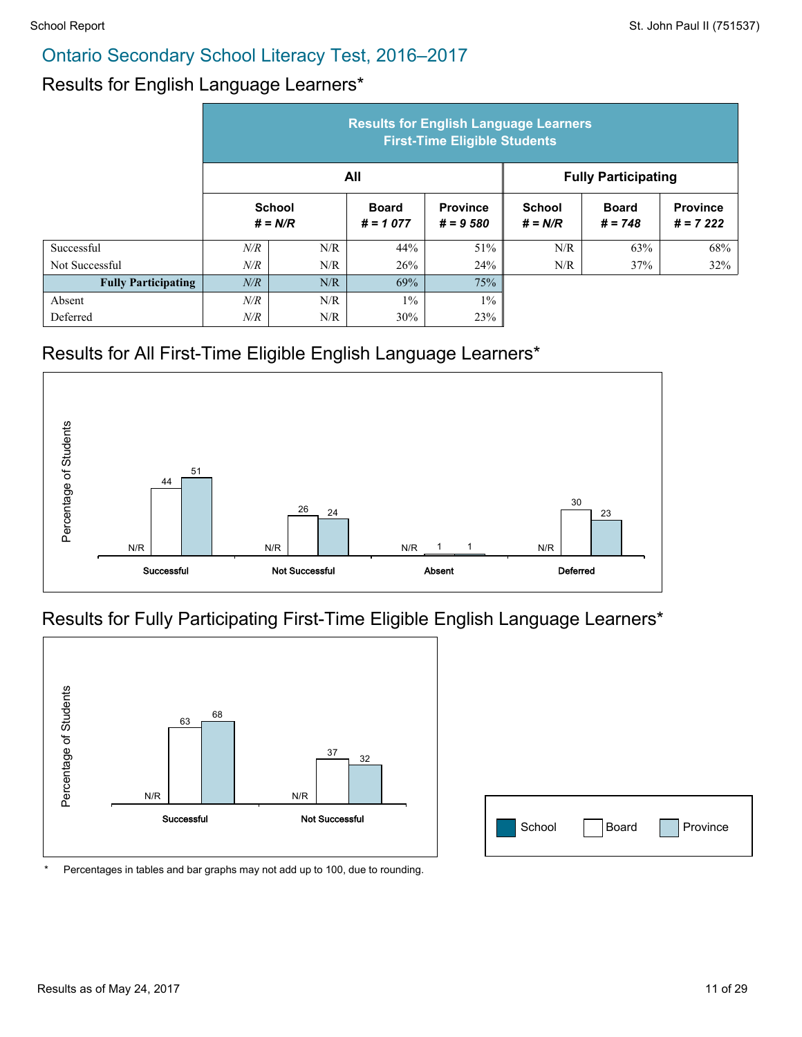#### Results for English Language Learners\*

|                            | <b>Results for English Language Learners</b><br><b>First-Time Eligible Students</b> |     |                            |                               |                            |                           |                               |  |
|----------------------------|-------------------------------------------------------------------------------------|-----|----------------------------|-------------------------------|----------------------------|---------------------------|-------------------------------|--|
|                            |                                                                                     |     | All                        |                               | <b>Fully Participating</b> |                           |                               |  |
|                            | <b>School</b><br>$# = N/R$                                                          |     | <b>Board</b><br>$# = 1077$ | <b>Province</b><br>$# = 9580$ | <b>School</b><br>$# = N/R$ | <b>Board</b><br>$# = 748$ | <b>Province</b><br>$# = 7222$ |  |
| Successful                 | N/R                                                                                 | N/R | 44%                        | 51%                           | N/R                        | 63%                       | 68%                           |  |
| Not Successful             | N/R                                                                                 | N/R | 26%                        | 24%                           | N/R                        | 37%                       | 32%                           |  |
| <b>Fully Participating</b> | N/R                                                                                 | N/R | 69%                        | 75%                           |                            |                           |                               |  |
| Absent                     | N/R                                                                                 | N/R | $1\%$                      | $1\%$                         |                            |                           |                               |  |
| Deferred                   | N/R                                                                                 | N/R | 30%                        | 23%                           |                            |                           |                               |  |

#### Results for All First-Time Eligible English Language Learners\*



#### Results for Fully Participating First-Time Eligible English Language Learners\*



| School<br>Province<br>Board |
|-----------------------------|
|-----------------------------|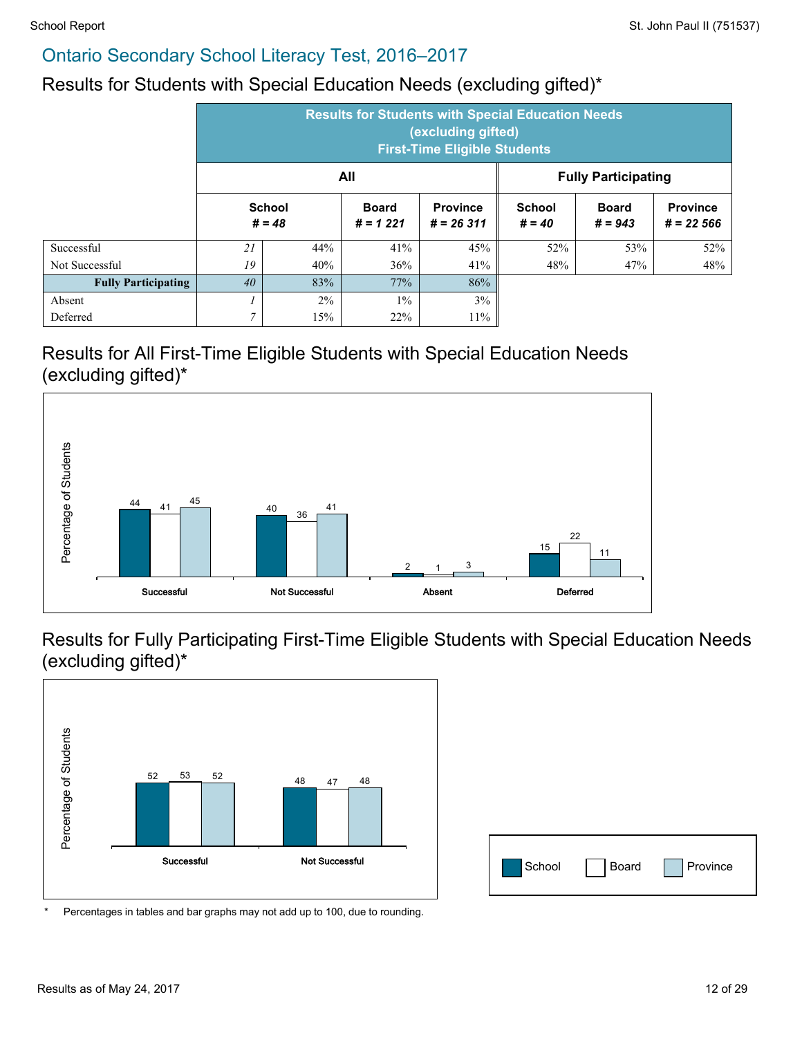#### Results for Students with Special Education Needs (excluding gifted)\*

|                            | <b>Results for Students with Special Education Needs</b><br>(excluding gifted)<br><b>First-Time Eligible Students</b> |       |                            |                                |                           |                           |                                |  |  |
|----------------------------|-----------------------------------------------------------------------------------------------------------------------|-------|----------------------------|--------------------------------|---------------------------|---------------------------|--------------------------------|--|--|
|                            | All<br><b>Fully Participating</b>                                                                                     |       |                            |                                |                           |                           |                                |  |  |
|                            | <b>School</b><br>$# = 48$                                                                                             |       | <b>Board</b><br>$# = 1221$ | <b>Province</b><br>$# = 26311$ | <b>School</b><br>$# = 40$ | <b>Board</b><br>$# = 943$ | <b>Province</b><br>$# = 22566$ |  |  |
| Successful                 | 21                                                                                                                    | 44%   | 41%                        | 45%                            | 52%                       | 53%                       | 52%                            |  |  |
| Not Successful             | 19                                                                                                                    | 40%   | 36%                        | 41%                            | 48%                       | 47%                       | 48%                            |  |  |
| <b>Fully Participating</b> | 40                                                                                                                    | 83%   | 77%                        | 86%                            |                           |                           |                                |  |  |
| Absent                     |                                                                                                                       | $2\%$ | $1\%$                      | 3%                             |                           |                           |                                |  |  |
| Deferred                   | 7                                                                                                                     | 15%   | 22%                        | 11%                            |                           |                           |                                |  |  |

#### Results for All First-Time Eligible Students with Special Education Needs (excluding gifted)\*



Results for Fully Participating First-Time Eligible Students with Special Education Needs (excluding gifted)\*



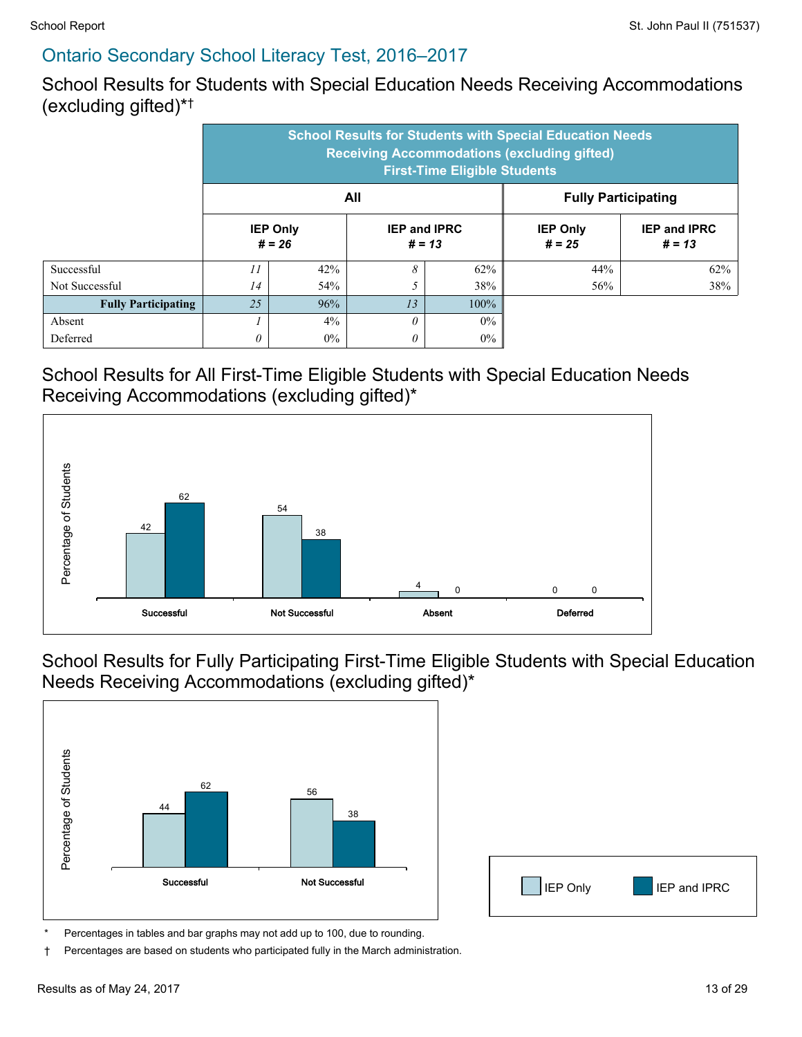School Results for Students with Special Education Needs Receiving Accommodations (excluding gifted)\* †

|                            | <b>School Results for Students with Special Education Needs</b><br><b>Receiving Accommodations (excluding gifted)</b><br><b>First-Time Eligible Students</b> |                             |                                 |                            |                             |                                 |  |  |
|----------------------------|--------------------------------------------------------------------------------------------------------------------------------------------------------------|-----------------------------|---------------------------------|----------------------------|-----------------------------|---------------------------------|--|--|
|                            |                                                                                                                                                              | All                         |                                 | <b>Fully Participating</b> |                             |                                 |  |  |
|                            |                                                                                                                                                              | <b>IEP Only</b><br>$# = 26$ | <b>IEP and IPRC</b><br>$# = 13$ |                            | <b>IEP Only</b><br>$# = 25$ | <b>IEP and IPRC</b><br>$# = 13$ |  |  |
| Successful                 | 11                                                                                                                                                           | 42%                         | 8                               | 62%                        | 44%                         | 62%                             |  |  |
| Not Successful             | 14                                                                                                                                                           | 54%                         |                                 | 38%                        | 56%                         | 38%                             |  |  |
| <b>Fully Participating</b> | 25                                                                                                                                                           | 96%                         | 13                              | $100\%$                    |                             |                                 |  |  |
| Absent                     |                                                                                                                                                              | $4\%$                       | $\theta$                        | $0\%$                      |                             |                                 |  |  |
| Deferred                   |                                                                                                                                                              | $0\%$                       | $\theta$                        | $0\%$                      |                             |                                 |  |  |

#### School Results for All First-Time Eligible Students with Special Education Needs Receiving Accommodations (excluding gifted)\*



School Results for Fully Participating First-Time Eligible Students with Special Education Needs Receiving Accommodations (excluding gifted)\*





Percentages in tables and bar graphs may not add up to 100, due to rounding.

† Percentages are based on students who participated fully in the March administration.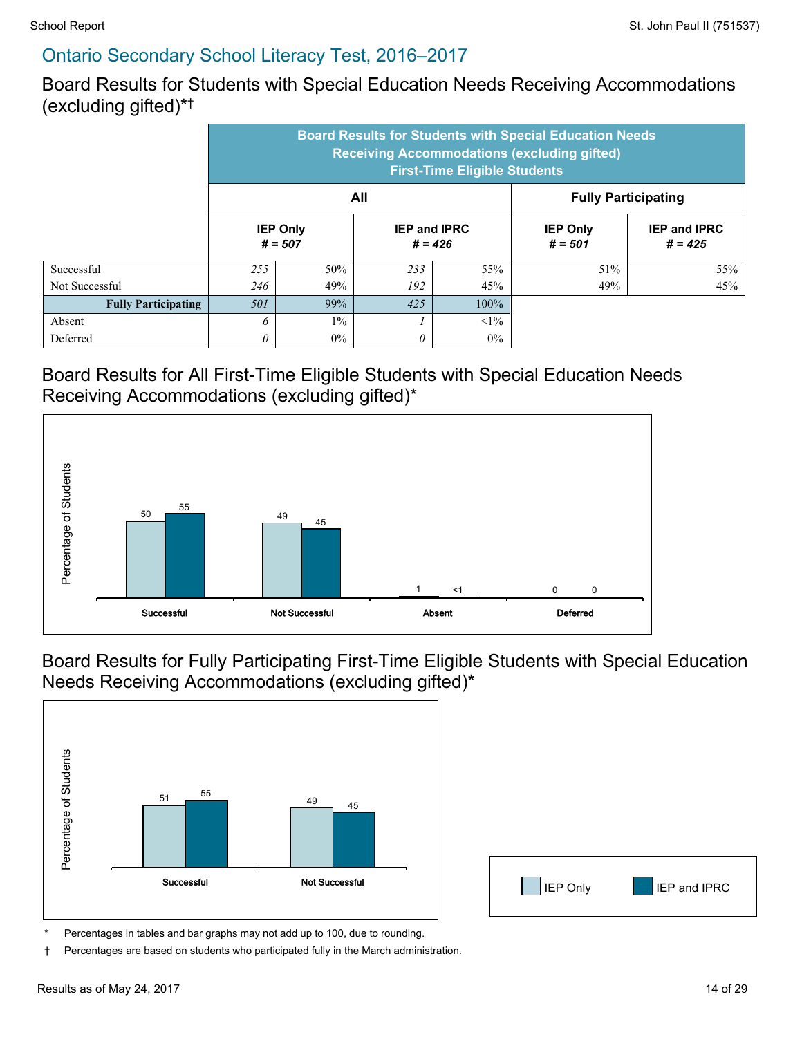Board Results for Students with Special Education Needs Receiving Accommodations (excluding gifted)\* †

|                            | <b>Board Results for Students with Special Education Needs</b><br><b>Receiving Accommodations (excluding gifted)</b><br><b>First-Time Eligible Students</b> |                              |                                  |                            |                              |                                  |  |  |
|----------------------------|-------------------------------------------------------------------------------------------------------------------------------------------------------------|------------------------------|----------------------------------|----------------------------|------------------------------|----------------------------------|--|--|
|                            |                                                                                                                                                             |                              | All                              | <b>Fully Participating</b> |                              |                                  |  |  |
|                            |                                                                                                                                                             | <b>IEP Only</b><br>$# = 507$ | <b>IEP and IPRC</b><br>$# = 426$ |                            | <b>IEP Only</b><br>$# = 501$ | <b>IEP and IPRC</b><br>$# = 425$ |  |  |
| Successful                 | 255                                                                                                                                                         | 50%                          | 233                              | 55%                        | 51%                          | 55%                              |  |  |
| Not Successful             | 246                                                                                                                                                         | 49%                          | 192                              | 45%                        | 49%                          | 45%                              |  |  |
| <b>Fully Participating</b> | 501                                                                                                                                                         | 99%                          | 425                              | 100%                       |                              |                                  |  |  |
| Absent                     | <sup>6</sup>                                                                                                                                                | $1\%$                        |                                  | $<1\%$                     |                              |                                  |  |  |
| Deferred                   |                                                                                                                                                             | $0\%$                        | 0                                | $0\%$                      |                              |                                  |  |  |

#### Board Results for All First-Time Eligible Students with Special Education Needs Receiving Accommodations (excluding gifted)\*



Board Results for Fully Participating First-Time Eligible Students with Special Education Needs Receiving Accommodations (excluding gifted)\*



| IEP Only | IEP and IPRC |
|----------|--------------|

Percentages in tables and bar graphs may not add up to 100, due to rounding.

† Percentages are based on students who participated fully in the March administration.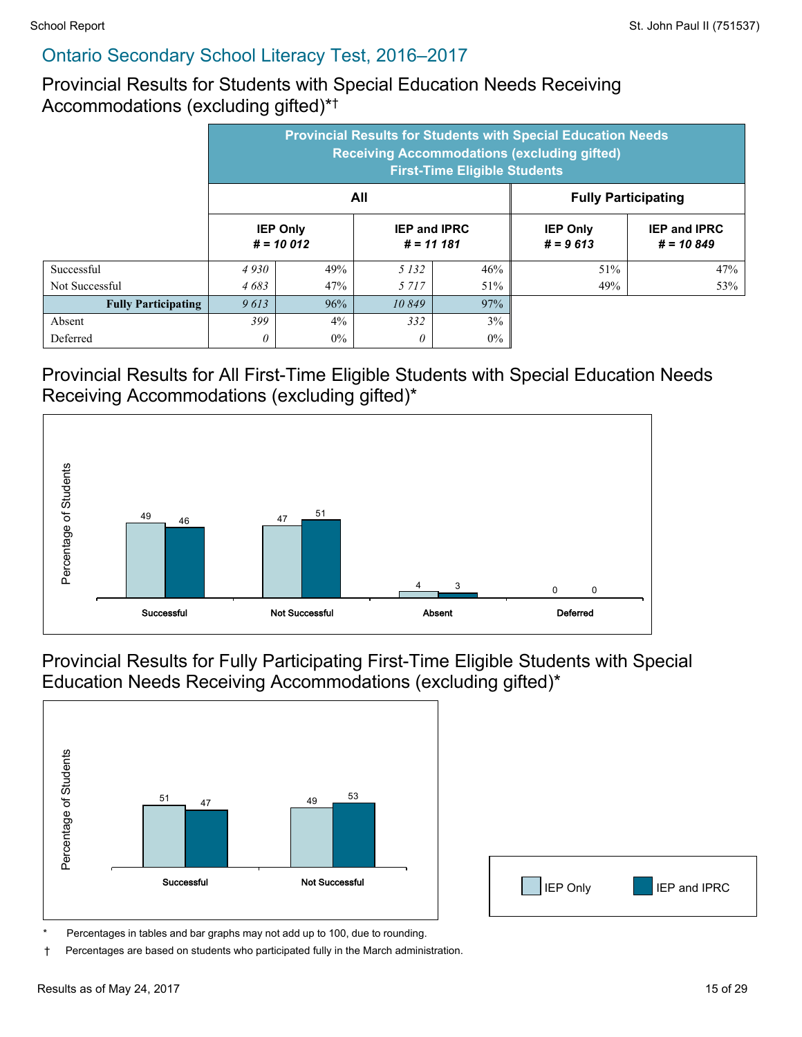Provincial Results for Students with Special Education Needs Receiving Accommodations (excluding gifted)\* †

|                            | <b>Provincial Results for Students with Special Education Needs</b><br><b>Receiving Accommodations (excluding gifted)</b><br><b>First-Time Eligible Students</b> |                                |                                     |       |                               |                                    |  |  |
|----------------------------|------------------------------------------------------------------------------------------------------------------------------------------------------------------|--------------------------------|-------------------------------------|-------|-------------------------------|------------------------------------|--|--|
|                            | All<br><b>Fully Participating</b>                                                                                                                                |                                |                                     |       |                               |                                    |  |  |
|                            |                                                                                                                                                                  | <b>IEP Only</b><br>$# = 10012$ | <b>IEP and IPRC</b><br>$# = 11 181$ |       | <b>IEP Only</b><br>$# = 9613$ | <b>IEP and IPRC</b><br>$# = 10849$ |  |  |
| Successful                 | 4930                                                                                                                                                             | 49%                            | 5 1 3 2                             | 46%   | 51%                           | 47%                                |  |  |
| Not Successful             | 4683                                                                                                                                                             | 47%                            | 5 7 1 7                             | 51%   | 49%                           | 53%                                |  |  |
| <b>Fully Participating</b> | 9613                                                                                                                                                             | 96%                            | 10849                               | 97%   |                               |                                    |  |  |
| Absent                     | 399                                                                                                                                                              | 4%                             | 332                                 | 3%    |                               |                                    |  |  |
| Deferred                   | 0                                                                                                                                                                | $0\%$                          | 0                                   | $0\%$ |                               |                                    |  |  |

Provincial Results for All First-Time Eligible Students with Special Education Needs Receiving Accommodations (excluding gifted)\*



Provincial Results for Fully Participating First-Time Eligible Students with Special Education Needs Receiving Accommodations (excluding gifted)\*



| <b>IEP</b> Only | $\boxed{\phantom{1}}$ IEP and IPRC |
|-----------------|------------------------------------|

Percentages in tables and bar graphs may not add up to 100, due to rounding.

† Percentages are based on students who participated fully in the March administration.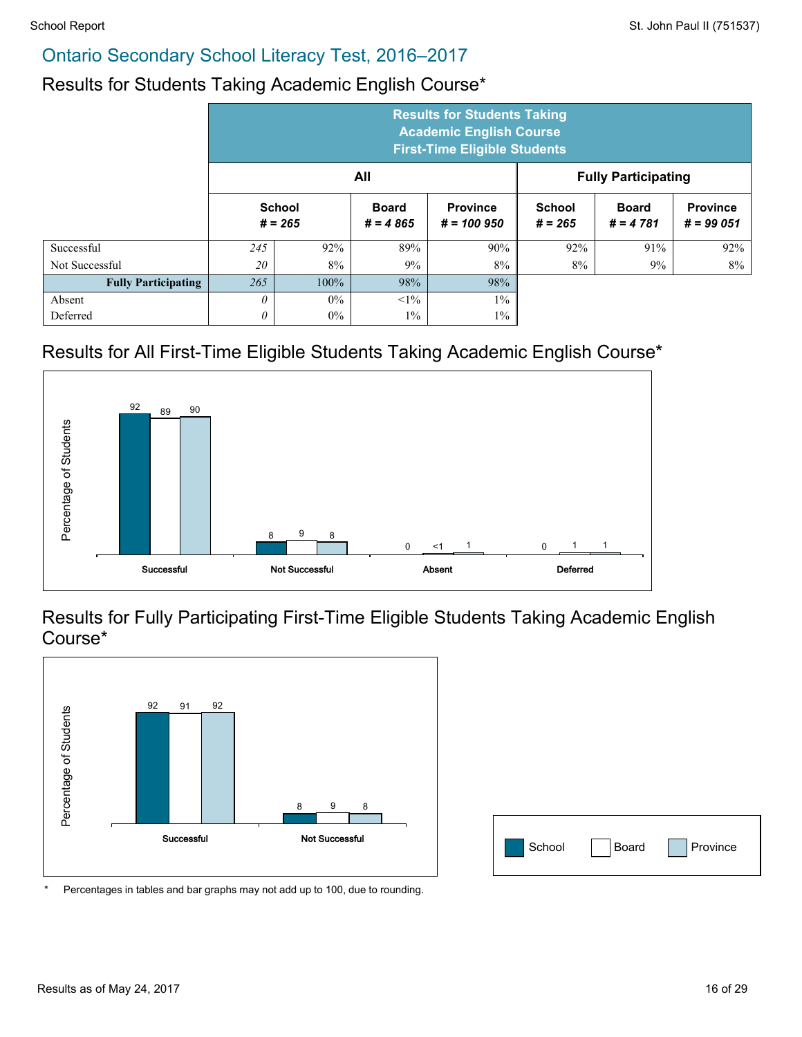#### Results for Students Taking Academic English Course\*

|                            | <b>Results for Students Taking</b><br><b>Academic English Course</b><br><b>First-Time Eligible Students</b> |       |                            |                                 |                     |                            |                                |  |
|----------------------------|-------------------------------------------------------------------------------------------------------------|-------|----------------------------|---------------------------------|---------------------|----------------------------|--------------------------------|--|
|                            | All<br><b>Fully Participating</b>                                                                           |       |                            |                                 |                     |                            |                                |  |
|                            | <b>School</b><br>$# = 265$                                                                                  |       | <b>Board</b><br>$# = 4865$ | <b>Province</b><br>$# = 100950$ | School<br>$# = 265$ | <b>Board</b><br>$# = 4781$ | <b>Province</b><br>$# = 99051$ |  |
| Successful                 | 245                                                                                                         | 92%   | 89%                        | 90%                             | 92%                 | 91%                        | 92%                            |  |
| Not Successful             | 20                                                                                                          | 8%    | 9%                         | 8%                              | 8%                  | 9%                         | 8%                             |  |
| <b>Fully Participating</b> | 265                                                                                                         | 100%  | 98%                        | 98%                             |                     |                            |                                |  |
| Absent                     | $\theta$                                                                                                    | $0\%$ | $<1\%$                     | $1\%$                           |                     |                            |                                |  |
| Deferred                   | 0                                                                                                           | $0\%$ | $1\%$                      | $1\%$                           |                     |                            |                                |  |

#### Results for All First-Time Eligible Students Taking Academic English Course\*



#### Results for Fully Participating First-Time Eligible Students Taking Academic English Course\*



| School | Board Province |
|--------|----------------|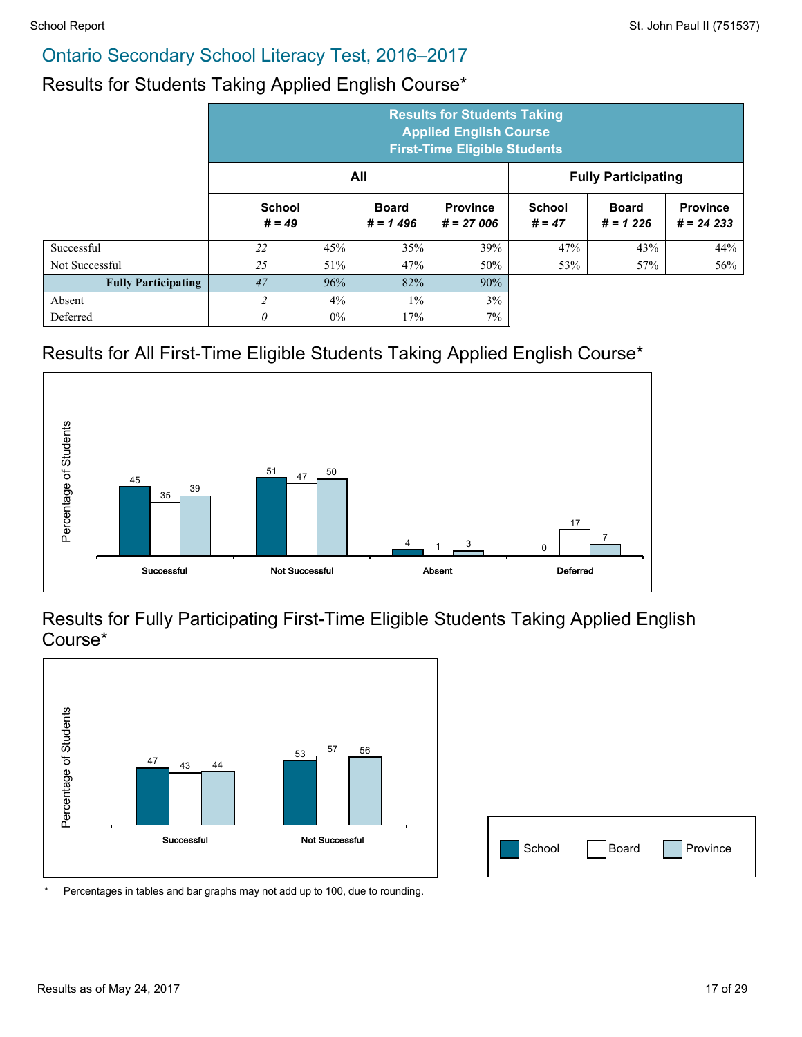#### Results for Students Taking Applied English Course\*

|                            | <b>Results for Students Taking</b><br><b>Applied English Course</b><br><b>First-Time Eligible Students</b> |                           |                            |                                |                            |                            |                                |  |
|----------------------------|------------------------------------------------------------------------------------------------------------|---------------------------|----------------------------|--------------------------------|----------------------------|----------------------------|--------------------------------|--|
|                            |                                                                                                            |                           | All                        |                                | <b>Fully Participating</b> |                            |                                |  |
|                            |                                                                                                            | <b>School</b><br>$# = 49$ | <b>Board</b><br>$# = 1496$ | <b>Province</b><br>$# = 27006$ | <b>School</b><br>$# = 47$  | <b>Board</b><br>$# = 1226$ | <b>Province</b><br>$# = 24233$ |  |
| Successful                 | 22                                                                                                         | 45%                       | 35%                        | 39%                            | 47%                        | 43%                        | 44%                            |  |
| Not Successful             | 25                                                                                                         | 51%                       | 47%                        | 50%                            | 53%                        | 57%                        | 56%                            |  |
| <b>Fully Participating</b> | 47                                                                                                         | 96%                       | 82%                        | 90%                            |                            |                            |                                |  |
| Absent                     | $\overline{c}$                                                                                             | $4\%$                     | $1\%$                      | 3%                             |                            |                            |                                |  |
| Deferred                   | 0                                                                                                          | $0\%$                     | 17%                        | 7%                             |                            |                            |                                |  |

### Results for All First-Time Eligible Students Taking Applied English Course\*



#### Results for Fully Participating First-Time Eligible Students Taking Applied English Course\*



| School | Board | Province |
|--------|-------|----------|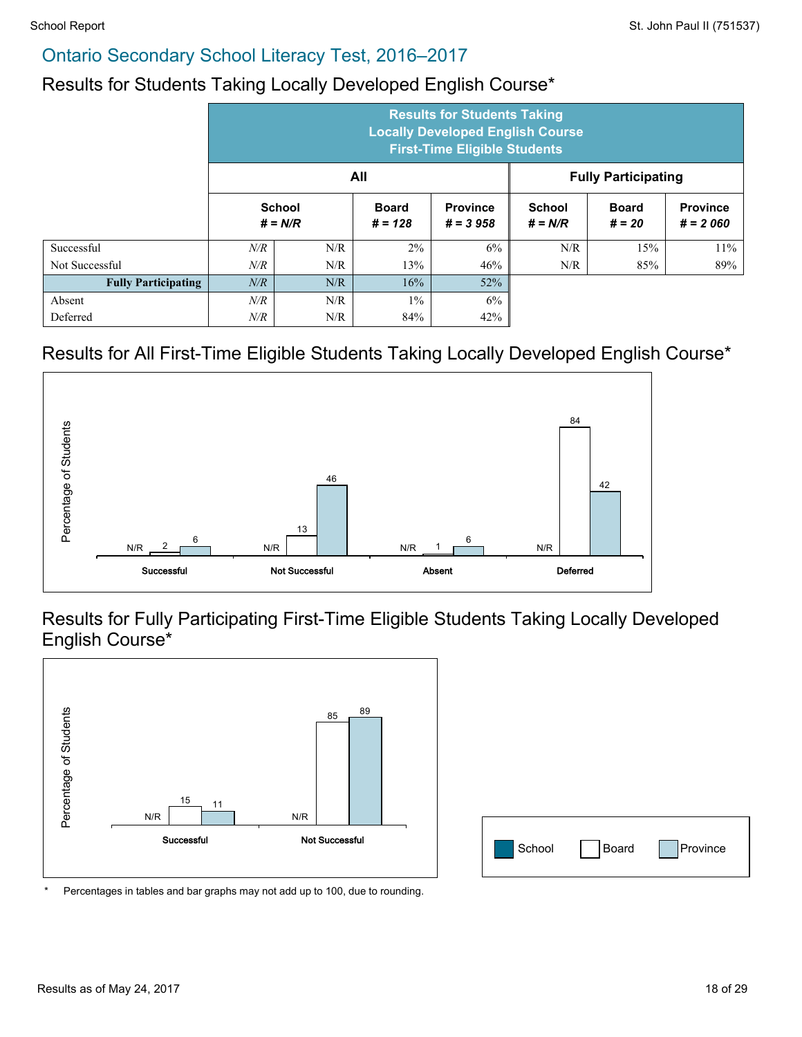#### Results for Students Taking Locally Developed English Course\*

|                            | <b>Results for Students Taking</b><br><b>Locally Developed English Course</b><br><b>First-Time Eligible Students</b> |                            |                           |                               |                            |                          |                               |  |  |
|----------------------------|----------------------------------------------------------------------------------------------------------------------|----------------------------|---------------------------|-------------------------------|----------------------------|--------------------------|-------------------------------|--|--|
|                            | All<br><b>Fully Participating</b>                                                                                    |                            |                           |                               |                            |                          |                               |  |  |
|                            |                                                                                                                      | <b>School</b><br>$# = N/R$ | <b>Board</b><br>$# = 128$ | <b>Province</b><br>$# = 3958$ | <b>School</b><br>$# = N/R$ | <b>Board</b><br>$# = 20$ | <b>Province</b><br>$# = 2060$ |  |  |
| Successful                 | N/R                                                                                                                  | N/R                        | 2%                        | 6%                            | N/R                        | 15%                      | $11\%$                        |  |  |
| Not Successful             | N/R                                                                                                                  | N/R                        | 13%                       | 46%                           | N/R                        | 85%                      | 89%                           |  |  |
| <b>Fully Participating</b> | N/R                                                                                                                  | N/R                        | 16%                       | 52%                           |                            |                          |                               |  |  |
| Absent                     | N/R                                                                                                                  | N/R                        | $1\%$                     | 6%                            |                            |                          |                               |  |  |
| Deferred                   | N/R                                                                                                                  | N/R                        | 84%                       | 42%                           |                            |                          |                               |  |  |

#### Results for All First-Time Eligible Students Taking Locally Developed English Course\*



Results for Fully Participating First-Time Eligible Students Taking Locally Developed English Course\*



| School | Board | Province |
|--------|-------|----------|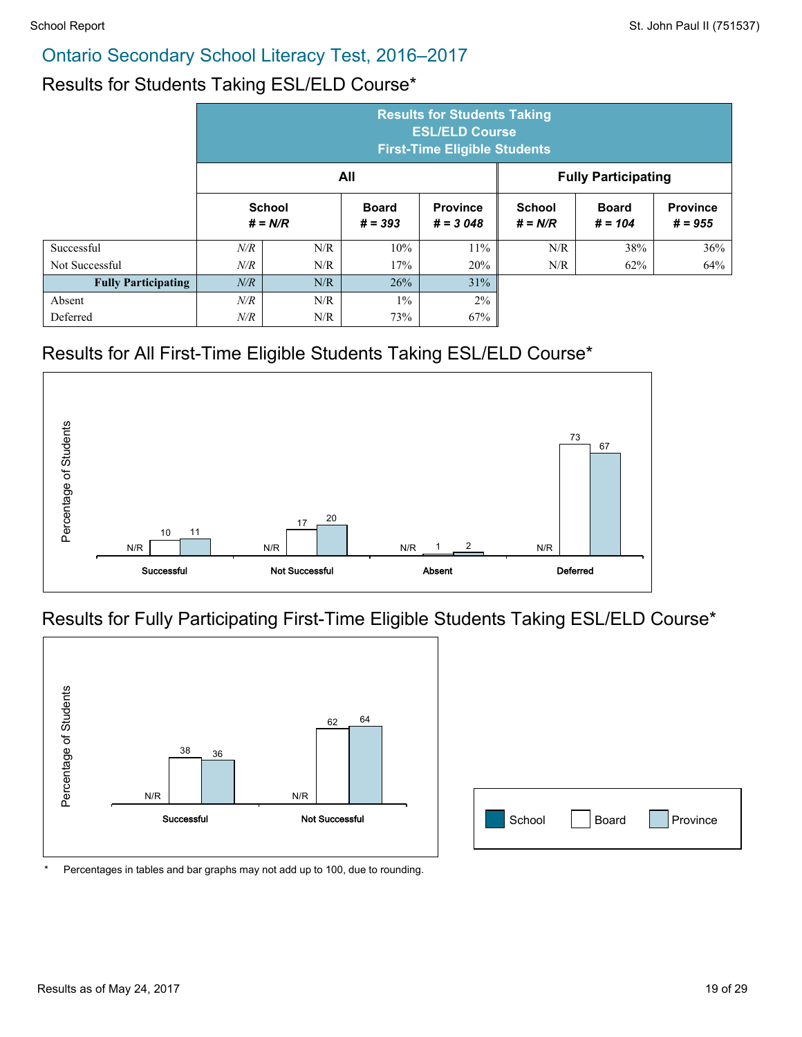#### Results for Students Taking ESL/ELD Course\*

|                            | <b>Results for Students Taking</b><br><b>ESL/ELD Course</b><br><b>First-Time Eligible Students</b> |                            |                           |                               |                            |                           |                              |  |  |  |
|----------------------------|----------------------------------------------------------------------------------------------------|----------------------------|---------------------------|-------------------------------|----------------------------|---------------------------|------------------------------|--|--|--|
|                            | All<br><b>Fully Participating</b>                                                                  |                            |                           |                               |                            |                           |                              |  |  |  |
|                            |                                                                                                    | <b>School</b><br>$# = N/R$ | <b>Board</b><br>$# = 393$ | <b>Province</b><br>$# = 3048$ | <b>School</b><br>$# = N/R$ | <b>Board</b><br>$# = 104$ | <b>Province</b><br>$# = 955$ |  |  |  |
| Successful                 | $N\!/\!R$                                                                                          | N/R                        | 10%                       | 11%                           | N/R                        | 38%                       | 36%                          |  |  |  |
| Not Successful             | N/R                                                                                                | N/R                        | 17%                       | 20%                           | N/R                        | 62%                       | 64%                          |  |  |  |
| <b>Fully Participating</b> | N/R                                                                                                | N/R                        | 26%                       | 31%                           |                            |                           |                              |  |  |  |
| Absent                     | N/R                                                                                                | N/R                        | $1\%$                     | 2%                            |                            |                           |                              |  |  |  |
| Deferred                   | $N\!/\!R$                                                                                          | N/R                        | 73%                       | 67%                           |                            |                           |                              |  |  |  |

#### Results for All First-Time Eligible Students Taking ESL/ELD Course\*



#### Results for Fully Participating First-Time Eligible Students Taking ESL/ELD Course\*



| School | Board | Province |
|--------|-------|----------|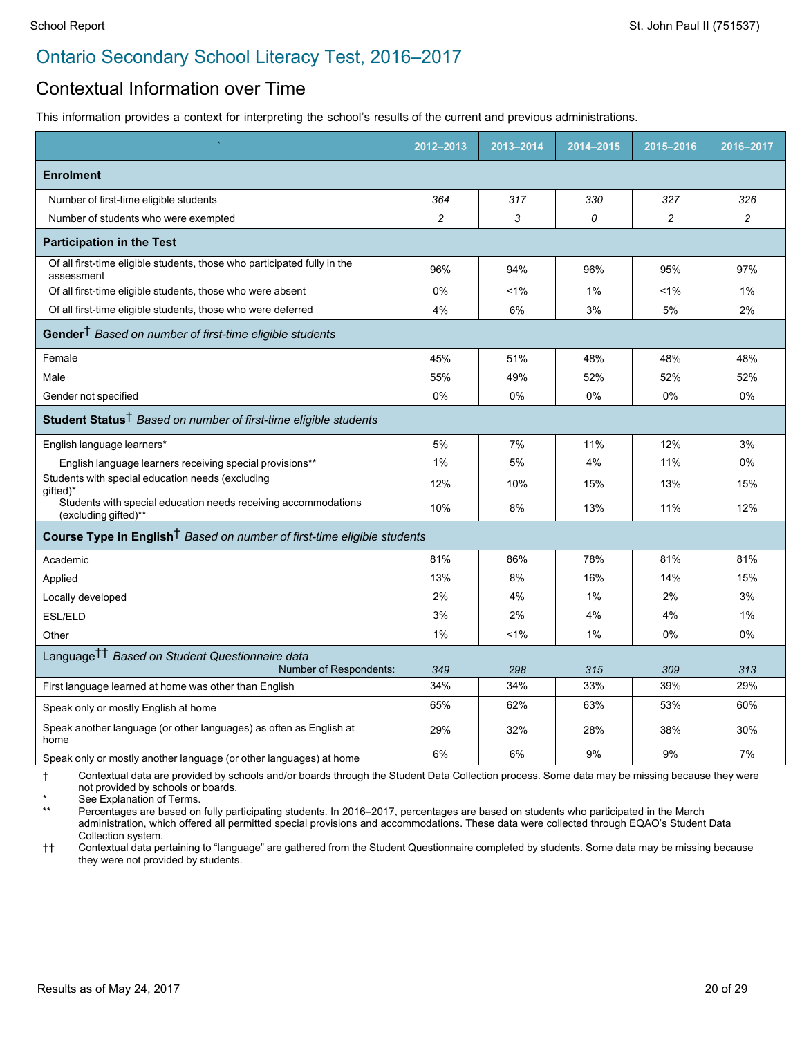#### Contextual Information over Time

This information provides a context for interpreting the school's results of the current and previous administrations.

|                                                                                        | 2012-2013      | 2013-2014 | 2014-2015 | 2015-2016      | 2016-2017      |  |  |  |
|----------------------------------------------------------------------------------------|----------------|-----------|-----------|----------------|----------------|--|--|--|
| <b>Enrolment</b>                                                                       |                |           |           |                |                |  |  |  |
| Number of first-time eligible students                                                 | 364            | 317       | 330       | 327            | 326            |  |  |  |
| Number of students who were exempted                                                   | $\overline{c}$ | 3         | 0         | $\overline{c}$ | $\overline{c}$ |  |  |  |
| <b>Participation in the Test</b>                                                       |                |           |           |                |                |  |  |  |
| Of all first-time eligible students, those who participated fully in the<br>assessment | 96%            | 94%       | 96%       | 95%            | 97%            |  |  |  |
| Of all first-time eligible students, those who were absent                             | 0%             | 1%        | 1%        | 1%             | 1%             |  |  |  |
| Of all first-time eligible students, those who were deferred                           | 4%             | 6%        | 3%        | 5%             | 2%             |  |  |  |
| Gender <sup>†</sup> Based on number of first-time eligible students                    |                |           |           |                |                |  |  |  |
| Female                                                                                 | 45%            | 51%       | 48%       | 48%            | 48%            |  |  |  |
| Male                                                                                   | 55%            | 49%       | 52%       | 52%            | 52%            |  |  |  |
| Gender not specified                                                                   | 0%             | $0\%$     | 0%        | 0%             | 0%             |  |  |  |
| Student Status <sup>†</sup> Based on number of first-time eligible students            |                |           |           |                |                |  |  |  |
| English language learners*                                                             | 5%             | 7%        | 11%       | 12%            | 3%             |  |  |  |
| English language learners receiving special provisions**                               | $1\%$          | 5%        | 4%        | 11%            | 0%             |  |  |  |
| Students with special education needs (excluding<br>gifted)*                           | 12%            | 10%       | 15%       | 13%            | 15%            |  |  |  |
| Students with special education needs receiving accommodations<br>(excluding gifted)** | 10%            | 8%        | 13%       | 11%            | 12%            |  |  |  |
| Course Type in English <sup>†</sup> Based on number of first-time eligible students    |                |           |           |                |                |  |  |  |
| Academic                                                                               | 81%            | 86%       | 78%       | 81%            | 81%            |  |  |  |
| Applied                                                                                | 13%            | 8%        | 16%       | 14%            | 15%            |  |  |  |
| Locally developed                                                                      | 2%             | 4%        | 1%        | 2%             | 3%             |  |  |  |
| ESL/ELD                                                                                | 3%             | 2%        | 4%        | 4%             | 1%             |  |  |  |
| Other                                                                                  | 1%             | 1%        | 1%        | 0%             | 0%             |  |  |  |
| Language <sup>††</sup> Based on Student Questionnaire data<br>Number of Respondents:   | 349            | 298       | 315       | 309            | 313            |  |  |  |
| First language learned at home was other than English                                  | 34%            | 34%       | 33%       | 39%            | 29%            |  |  |  |
| Speak only or mostly English at home                                                   | 65%            | 62%       | 63%       | 53%            | 60%            |  |  |  |
| Speak another language (or other languages) as often as English at<br>home             | 29%            | 32%       | 28%       | 38%            | 30%            |  |  |  |
| Speak only or mostly another language (or other languages) at home                     | 6%             | 6%        | 9%        | 9%             | 7%             |  |  |  |

† Contextual data are provided by schools and/or boards through the Student Data Collection process. Some data may be missing because they were not provided by schools or boards.

\* See Explanation of Terms.

Percentages are based on fully participating students. In 2016–2017, percentages are based on students who participated in the March administration, which offered all permitted special provisions and accommodations. These data were collected through EQAO's Student Data Collection system.

†† Contextual data pertaining to "language" are gathered from the Student Questionnaire completed by students. Some data may be missing because they were not provided by students.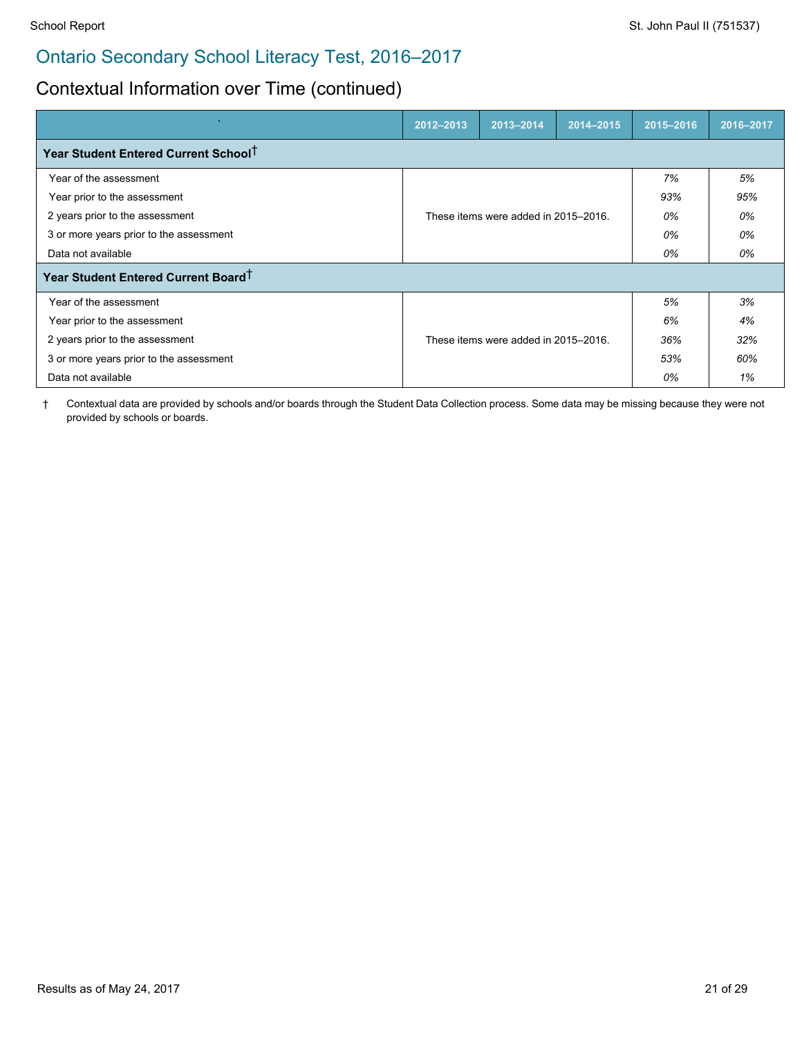## Contextual Information over Time (continued)

|                                                  | 2012-2013 | 2013-2014                            | 2014-2015 | 2015-2016 | 2016-2017 |
|--------------------------------------------------|-----------|--------------------------------------|-----------|-----------|-----------|
| Year Student Entered Current School <sup>T</sup> |           |                                      |           |           |           |
| Year of the assessment                           |           |                                      |           | 7%        | 5%        |
| Year prior to the assessment                     |           |                                      |           | 93%       | 95%       |
| 2 years prior to the assessment                  |           | These items were added in 2015–2016. |           | 0%        | 0%        |
| 3 or more years prior to the assessment          |           |                                      | 0%        | 0%        |           |
| Data not available                               |           |                                      |           | 0%        | 0%        |
| Year Student Entered Current Board <sup>T</sup>  |           |                                      |           |           |           |
| Year of the assessment                           |           |                                      |           | 5%        | 3%        |
| Year prior to the assessment                     |           |                                      |           | 6%        | 4%        |
| 2 years prior to the assessment                  |           | These items were added in 2015–2016. |           | 36%       | 32%       |
| 3 or more years prior to the assessment          |           |                                      | 53%       | 60%       |           |
| Data not available                               |           |                                      | 0%        | 1%        |           |

† Contextual data are provided by schools and/or boards through the Student Data Collection process. Some data may be missing because they were not provided by schools or boards.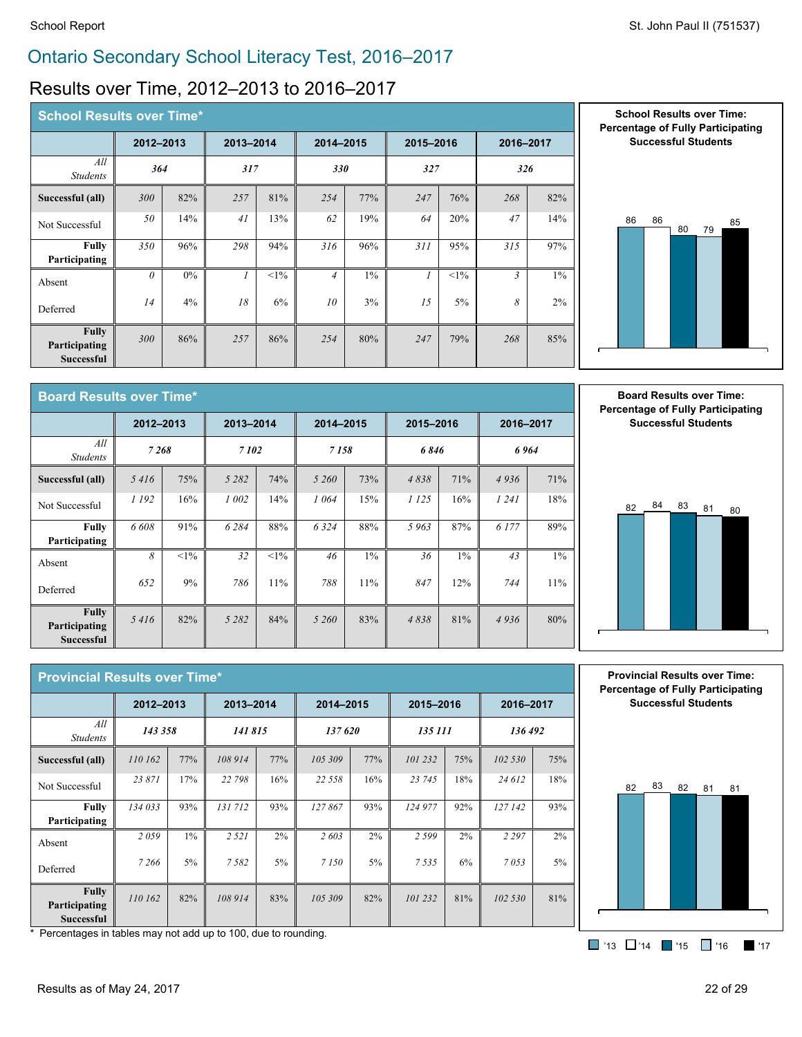## Results over Time, 2012–2013 to 2016–2017

| <b>School Results over Time*</b>                   |           |       |           |        |                |       |           |        |                |       |
|----------------------------------------------------|-----------|-------|-----------|--------|----------------|-------|-----------|--------|----------------|-------|
|                                                    | 2012-2013 |       | 2013-2014 |        | 2014-2015      |       | 2015-2016 |        | 2016-2017      |       |
| All<br><b>Students</b>                             | 364       |       | 317       |        | <b>330</b>     |       | 327       |        | 326            |       |
| Successful (all)                                   | 300       | 82%   | 257       | 81%    | 254            | 77%   | 247       | 76%    | 268            | 82%   |
| Not Successful                                     | 50        | 14%   | 41        | 13%    | 62             | 19%   | 64        | 20%    | 47             | 14%   |
| <b>Fully</b><br>Participating                      | 350       | 96%   | 298       | 94%    | 316            | 96%   | 311       | 95%    | 315            | 97%   |
| Absent                                             | $\theta$  | $0\%$ |           | $<1\%$ | $\overline{4}$ | $1\%$ |           | $<1\%$ | $\mathfrak{Z}$ | $1\%$ |
| Deferred                                           | 14        | 4%    | 18        | 6%     | 10             | 3%    | 15        | $5\%$  | 8              | $2\%$ |
| <b>Fully</b><br>Participating<br><b>Successful</b> | 300       | 86%   | 257       | 86%    | 254            | 80%   | 247       | 79%    | 268            | 85%   |





| <b>Board Results over Time*</b>                    |           |        |           |        |           |       |           |     |           |       |  |
|----------------------------------------------------|-----------|--------|-----------|--------|-----------|-------|-----------|-----|-----------|-------|--|
|                                                    | 2012-2013 |        | 2013-2014 |        | 2014-2015 |       | 2015-2016 |     | 2016-2017 |       |  |
| All<br><b>Students</b>                             | 7268      |        | 7102      |        | 7158      |       | 6846      |     | 6964      |       |  |
| Successful (all)                                   | 5416      | 75%    | 5 2 8 2   | 74%    | 5 260     | 73%   | 4838      | 71% | 4936      | 71%   |  |
| Not Successful                                     | 1 192     | 16%    | 1 002     | 14%    | 1064      | 15%   | 1 1 2 5   | 16% | 1 24 1    | 18%   |  |
| <b>Fully</b><br>Participating                      | 6 608     | 91%    | 6 2 8 4   | 88%    | 6324      | 88%   | 5963      | 87% | 6 177     | 89%   |  |
| Absent                                             | 8         | $<1\%$ | 32        | $<1\%$ | 46        | $1\%$ | 36        | 1%  | 43        | $1\%$ |  |
| Deferred                                           | 652       | 9%     | 786       | 11%    | 788       | 11%   | 847       | 12% | 744       | 11%   |  |
| <b>Fully</b><br>Participating<br><b>Successful</b> | 5416      | 82%    | 5 2 8 2   | 84%    | 5 260     | 83%   | 4838      | 81% | 4936      | 80%   |  |

**Board Results over Time: Percentage of Fully Participating Successful Students**



| <b>Provincial Results over Time*</b>               |           |       |           |       |           |       |           |     |           |       |
|----------------------------------------------------|-----------|-------|-----------|-------|-----------|-------|-----------|-----|-----------|-------|
|                                                    | 2012-2013 |       | 2013-2014 |       | 2014-2015 |       | 2015-2016 |     | 2016-2017 |       |
| All<br><b>Students</b>                             | 143 358   |       | 141 815   |       | 137620    |       | 135 111   |     | 136 492   |       |
| Successful (all)                                   | 110 162   | 77%   | 108 914   | 77%   | 105 309   | 77%   | 101 232   | 75% | 102 530   | 75%   |
| Not Successful                                     | 23 871    | 17%   | 22 798    | 16%   | 22 5 5 8  | 16%   | 23 745    | 18% | 24 612    | 18%   |
| <b>Fully</b><br>Participating                      | 134 033   | 93%   | 131712    | 93%   | 127867    | 93%   | 124 977   | 92% | 127 142   | 93%   |
| Absent                                             | 2059      | $1\%$ | 2 5 2 1   | $2\%$ | 2603      | $2\%$ | 2599      | 2%  | 2 2 9 7   | $2\%$ |
| Deferred                                           | 7 266     | $5\%$ | 7582      | 5%    | 7 1 5 0   | 5%    | 7535      | 6%  | 7053      | $5\%$ |
| <b>Fully</b><br>Participating<br><b>Successful</b> | 110 162   | 82%   | 108 914   | 83%   | 105 309   | 82%   | 101 232   | 81% | 102 530   | 81%   |

**Provincial Results over Time: Percentage of Fully Participating Successful Students**



\* Percentages in tables may not add up to 100, due to rounding.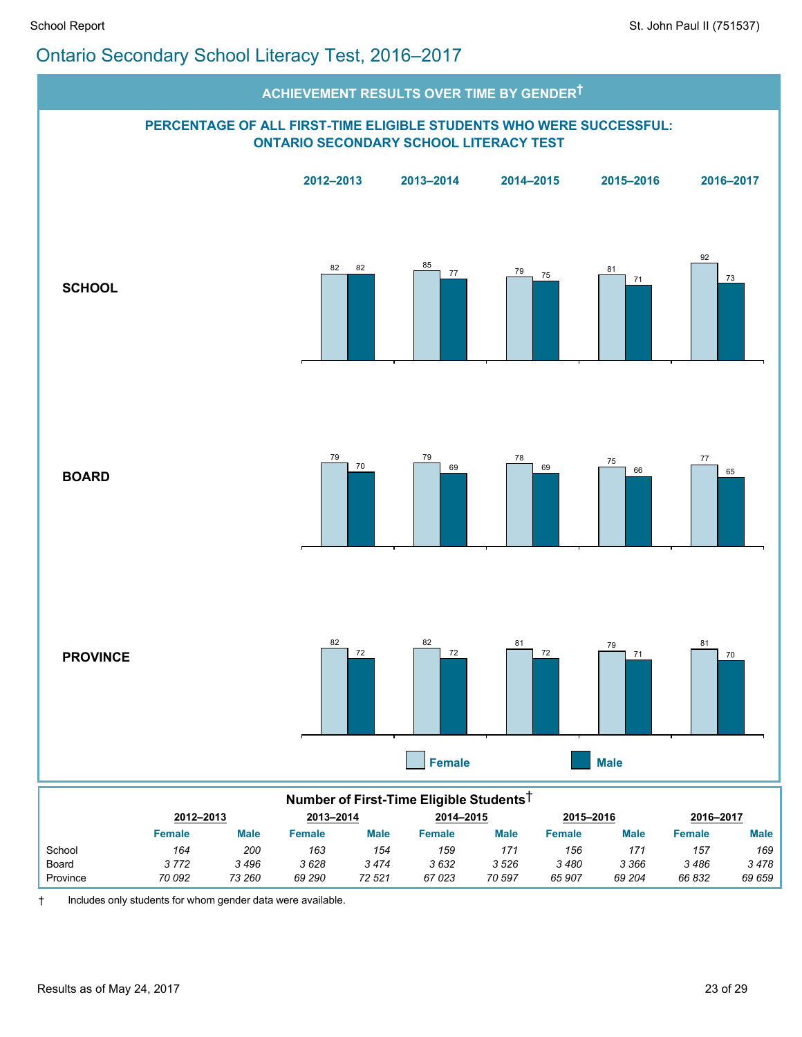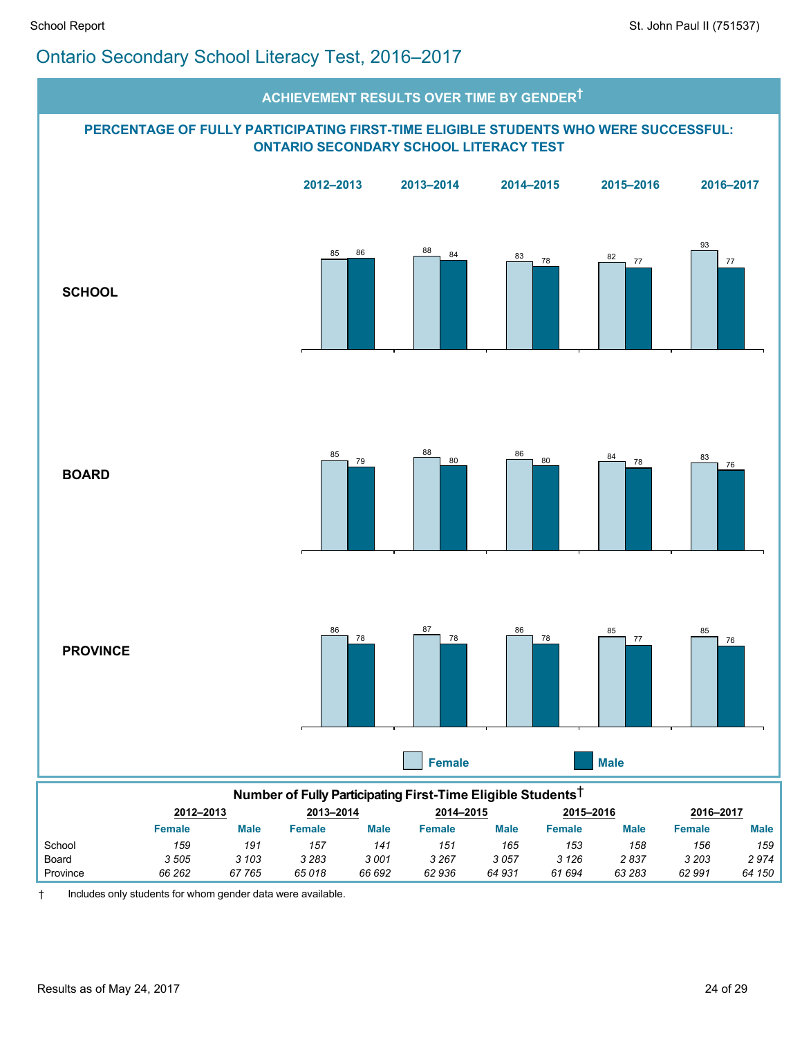

Province *66 262 67 765 65 018 66 692 62 936 64 931 61 694 63 283 62 991 64 150*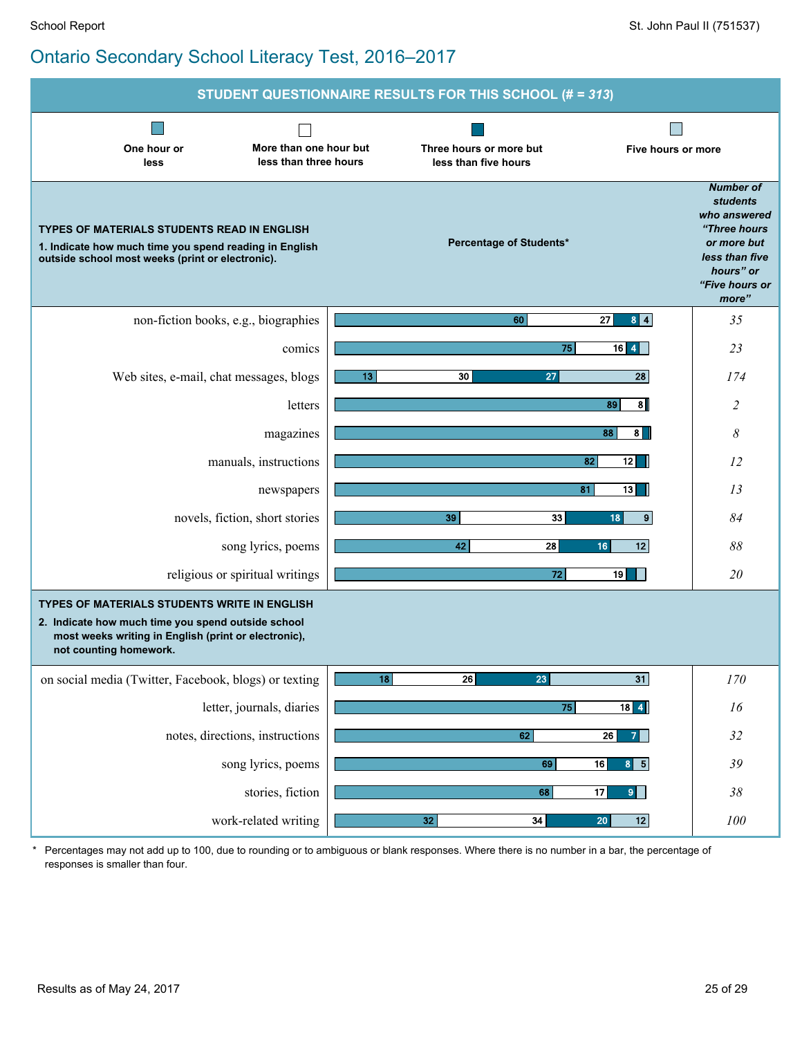|                                                                                                                                                                                             | STUDENT QUESTIONNAIRE RESULTS FOR THIS SCHOOL (# = 313)               |                                                                                                                                              |
|---------------------------------------------------------------------------------------------------------------------------------------------------------------------------------------------|-----------------------------------------------------------------------|----------------------------------------------------------------------------------------------------------------------------------------------|
| More than one hour but<br>One hour or<br>less than three hours<br>less                                                                                                                      | Three hours or more but<br>Five hours or more<br>less than five hours |                                                                                                                                              |
| <b>TYPES OF MATERIALS STUDENTS READ IN ENGLISH</b><br>1. Indicate how much time you spend reading in English<br>outside school most weeks (print or electronic).                            | <b>Percentage of Students*</b>                                        | <b>Number of</b><br><b>students</b><br>who answered<br>"Three hours<br>or more but<br>less than five<br>hours" or<br>"Five hours or<br>more" |
| non-fiction books, e.g., biographies                                                                                                                                                        | 60<br>27<br>$8$ $4$                                                   | 35                                                                                                                                           |
| comics                                                                                                                                                                                      | 75<br>$16$ 4                                                          | 23                                                                                                                                           |
| Web sites, e-mail, chat messages, blogs                                                                                                                                                     | $\overline{28}$<br>13 <sub>13</sub><br>30<br>27                       | 174                                                                                                                                          |
| letters                                                                                                                                                                                     | $\overline{\mathbf{a}}$<br>89                                         | 2                                                                                                                                            |
| magazines                                                                                                                                                                                   | 88<br>8                                                               | 8                                                                                                                                            |
| manuals, instructions                                                                                                                                                                       | 82<br>12                                                              | 12                                                                                                                                           |
| newspapers                                                                                                                                                                                  | 81<br>13                                                              | 13                                                                                                                                           |
| novels, fiction, short stories                                                                                                                                                              | $\boldsymbol{9}$<br>39<br>33<br>18                                    | 84                                                                                                                                           |
| song lyrics, poems                                                                                                                                                                          | 42<br>28<br>16<br>12                                                  | 88                                                                                                                                           |
| religious or spiritual writings                                                                                                                                                             | 72<br>19 <sup>1</sup>                                                 | 20                                                                                                                                           |
| <b>TYPES OF MATERIALS STUDENTS WRITE IN ENGLISH</b><br>2. Indicate how much time you spend outside school<br>most weeks writing in English (print or electronic),<br>not counting homework. |                                                                       |                                                                                                                                              |
| on social media (Twitter, Facebook, blogs) or texting                                                                                                                                       | $\overline{18}$<br>$\overline{31}$<br>$\overline{26}$<br>23           | 170                                                                                                                                          |
| letter, journals, diaries                                                                                                                                                                   | 75<br>$18$ 4                                                          | 16                                                                                                                                           |
| notes, directions, instructions                                                                                                                                                             | 62<br>26<br><b>7</b>                                                  | 32                                                                                                                                           |
| song lyrics, poems                                                                                                                                                                          | 69<br>16<br>$8 \mid 5$                                                | 39                                                                                                                                           |
| stories, fiction                                                                                                                                                                            | 68<br>17<br>9                                                         | 38                                                                                                                                           |
| work-related writing                                                                                                                                                                        | $\overline{34}$<br>20<br>12<br>32                                     | 100                                                                                                                                          |

\* Percentages may not add up to 100, due to rounding or to ambiguous or blank responses. Where there is no number in a bar, the percentage of responses is smaller than four.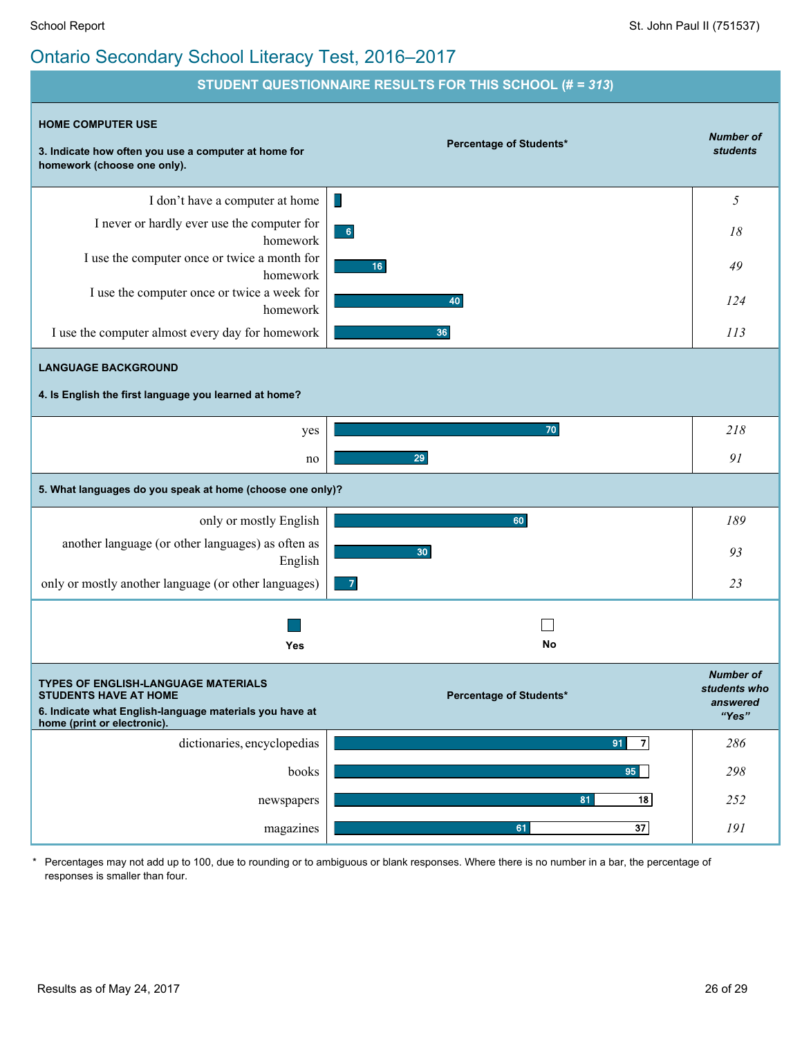

\* Percentages may not add up to 100, due to rounding or to ambiguous or blank responses. Where there is no number in a bar, the percentage of responses is smaller than four.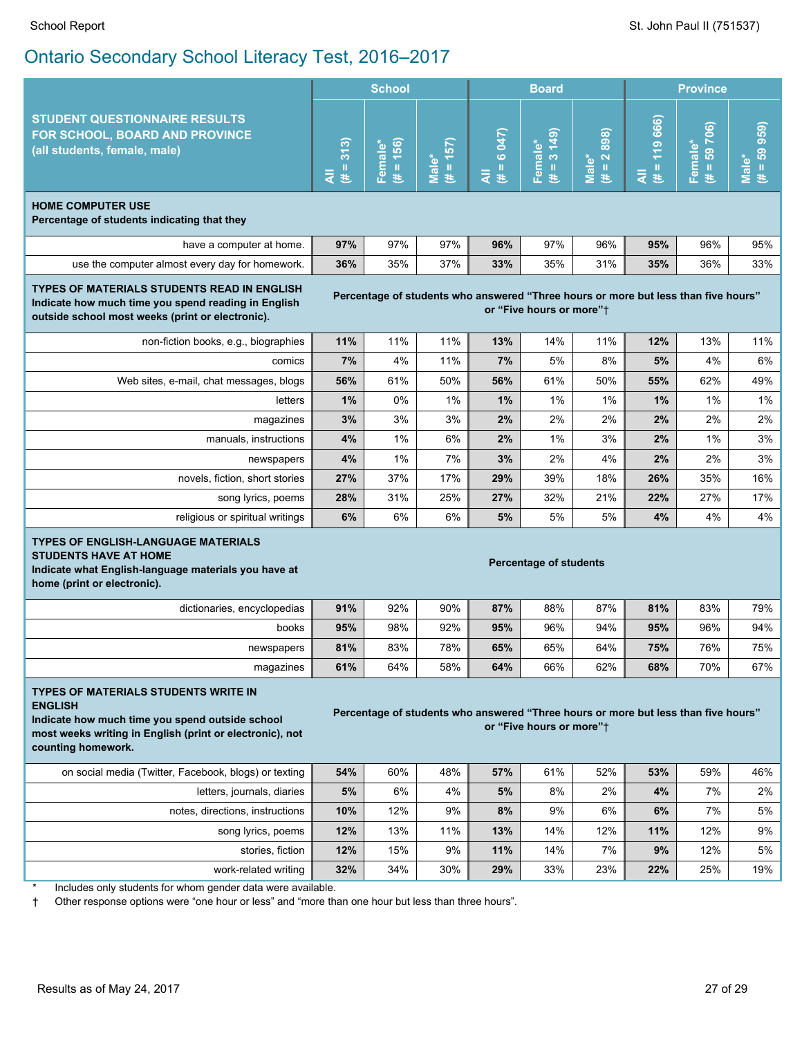|                                                                                                                                                                                                                                                                                                               |                                                                                                                | <b>School</b>          |                      |                              | <b>Board</b>                     |                       | <b>Province</b>         |                                       |                      |
|---------------------------------------------------------------------------------------------------------------------------------------------------------------------------------------------------------------------------------------------------------------------------------------------------------------|----------------------------------------------------------------------------------------------------------------|------------------------|----------------------|------------------------------|----------------------------------|-----------------------|-------------------------|---------------------------------------|----------------------|
| <b>STUDENT QUESTIONNAIRE RESULTS</b><br>FOR SCHOOL, BOARD AND PROVINCE<br>(all students, female, male)                                                                                                                                                                                                        | 313<br>Ш<br>₹<br>违                                                                                             | $(# = 156)$<br>Female* | $(4 = 157)$<br>Male* | 6 047)<br>$\rm II$<br>₹<br>巷 | (641)<br>Female*<br>$\,$ II<br>患 | $(H = 2898)$<br>Male* | 119 666)<br>Ш<br>₹<br>巷 | 706)<br>Female*<br>59<br>$\,$ II<br>巷 | $# = 59959$<br>Male* |
| <b>HOME COMPUTER USE</b><br>Percentage of students indicating that they                                                                                                                                                                                                                                       |                                                                                                                |                        |                      |                              |                                  |                       |                         |                                       |                      |
| have a computer at home.                                                                                                                                                                                                                                                                                      | 97%                                                                                                            | 97%                    | 97%                  | 96%                          | 97%                              | 96%                   | 95%                     | 96%                                   | 95%                  |
| use the computer almost every day for homework.                                                                                                                                                                                                                                                               | 36%                                                                                                            | 35%                    | 37%                  | 33%                          | 35%                              | 31%                   | 35%                     | 36%                                   | 33%                  |
| <b>TYPES OF MATERIALS STUDENTS READ IN ENGLISH</b><br>Indicate how much time you spend reading in English<br>outside school most weeks (print or electronic).                                                                                                                                                 | Percentage of students who answered "Three hours or more but less than five hours"<br>or "Five hours or more"t |                        |                      |                              |                                  |                       |                         |                                       |                      |
| non-fiction books, e.g., biographies                                                                                                                                                                                                                                                                          | 11%                                                                                                            | 11%                    | 11%                  | 13%                          | 14%                              | 11%                   | 12%                     | 13%                                   | 11%                  |
| comics                                                                                                                                                                                                                                                                                                        | 7%                                                                                                             | 4%                     | 11%                  | 7%                           | 5%                               | 8%                    | 5%                      | 4%                                    | 6%                   |
| Web sites, e-mail, chat messages, blogs                                                                                                                                                                                                                                                                       | 56%                                                                                                            | 61%                    | 50%                  | 56%                          | 61%                              | 50%                   | 55%                     | 62%                                   | 49%                  |
| letters                                                                                                                                                                                                                                                                                                       | 1%                                                                                                             | 0%                     | 1%                   | 1%                           | 1%                               | 1%                    | 1%                      | 1%                                    | 1%                   |
| magazines                                                                                                                                                                                                                                                                                                     | 3%                                                                                                             | 3%                     | 3%                   | 2%                           | 2%                               | 2%                    | 2%                      | 2%                                    | 2%                   |
| manuals, instructions                                                                                                                                                                                                                                                                                         | $4\%$                                                                                                          | 1%                     | 6%                   | 2%                           | 1%                               | 3%                    | 2%                      | 1%                                    | 3%                   |
| newspapers                                                                                                                                                                                                                                                                                                    | 4%                                                                                                             | 1%                     | 7%                   | 3%                           | 2%                               | 4%                    | 2%                      | 2%                                    | 3%                   |
| novels, fiction, short stories                                                                                                                                                                                                                                                                                | 27%                                                                                                            | 37%                    | 17%                  | 29%                          | 39%                              | 18%                   | 26%                     | 35%                                   | 16%                  |
| song lyrics, poems                                                                                                                                                                                                                                                                                            | 28%                                                                                                            | 31%                    | 25%                  | 27%                          | 32%                              | 21%                   | 22%                     | 27%                                   | 17%                  |
| religious or spiritual writings                                                                                                                                                                                                                                                                               | 6%                                                                                                             | 6%                     | 6%                   | 5%                           | 5%                               | 5%                    | 4%                      | 4%                                    | 4%                   |
| <b>TYPES OF ENGLISH-LANGUAGE MATERIALS</b><br><b>STUDENTS HAVE AT HOME</b><br>Indicate what English-language materials you have at<br>home (print or electronic).                                                                                                                                             |                                                                                                                |                        |                      |                              | <b>Percentage of students</b>    |                       |                         |                                       |                      |
| dictionaries, encyclopedias                                                                                                                                                                                                                                                                                   | 91%                                                                                                            | 92%                    | 90%                  | 87%                          | 88%                              | 87%                   | 81%                     | 83%                                   | 79%                  |
| books                                                                                                                                                                                                                                                                                                         | 95%                                                                                                            | 98%                    | 92%                  | 95%                          | 96%                              | 94%                   | 95%                     | 96%                                   | 94%                  |
| newspapers                                                                                                                                                                                                                                                                                                    | 81%                                                                                                            | 83%                    | 78%                  | 65%                          | 65%                              | 64%                   | 75%                     | 76%                                   | 75%                  |
| magazines                                                                                                                                                                                                                                                                                                     | 61%                                                                                                            | 64%                    | 58%                  | 64%                          | 66%                              | 62%                   | 68%                     | 70%                                   | 67%                  |
| TYPES OF MATERIALS STUDENTS WRITE IN<br><b>ENGLISH</b><br>Percentage of students who answered "Three hours or more but less than five hours"<br>Indicate how much time you spend outside school<br>or "Five hours or more"+<br>most weeks writing in English (print or electronic), not<br>counting homework. |                                                                                                                |                        |                      |                              |                                  |                       |                         |                                       |                      |
| on social media (Twitter, Facebook, blogs) or texting                                                                                                                                                                                                                                                         | 54%                                                                                                            | 60%                    | 48%                  | 57%                          | 61%                              | 52%                   | 53%                     | 59%                                   | 46%                  |
| letters, journals, diaries                                                                                                                                                                                                                                                                                    | 5%                                                                                                             | 6%                     | 4%                   | 5%                           | 8%                               | 2%                    | 4%                      | 7%                                    | 2%                   |
| notes, directions, instructions                                                                                                                                                                                                                                                                               | 10%                                                                                                            | 12%                    | 9%                   | 8%                           | 9%                               | 6%                    | 6%                      | 7%                                    | 5%                   |
| song lyrics, poems                                                                                                                                                                                                                                                                                            | 12%                                                                                                            | 13%                    | 11%                  | 13%                          | 14%                              | 12%                   | 11%                     | 12%                                   | 9%                   |
| stories, fiction                                                                                                                                                                                                                                                                                              | 12%                                                                                                            | 15%                    | 9%                   | 11%                          | 14%                              | 7%                    | 9%                      | 12%                                   | 5%                   |
| work-related writing                                                                                                                                                                                                                                                                                          | 32%                                                                                                            | 34%                    | 30%                  | 29%                          | 33%                              | 23%                   | 22%                     | 25%                                   | 19%                  |
| Includes only students for whom gender data were available.<br>معارضه والمناقصة                                                                                                                                                                                                                               |                                                                                                                |                        |                      |                              |                                  |                       |                         |                                       |                      |

† Other response options were "one hour or less" and "more than one hour but less than three hours".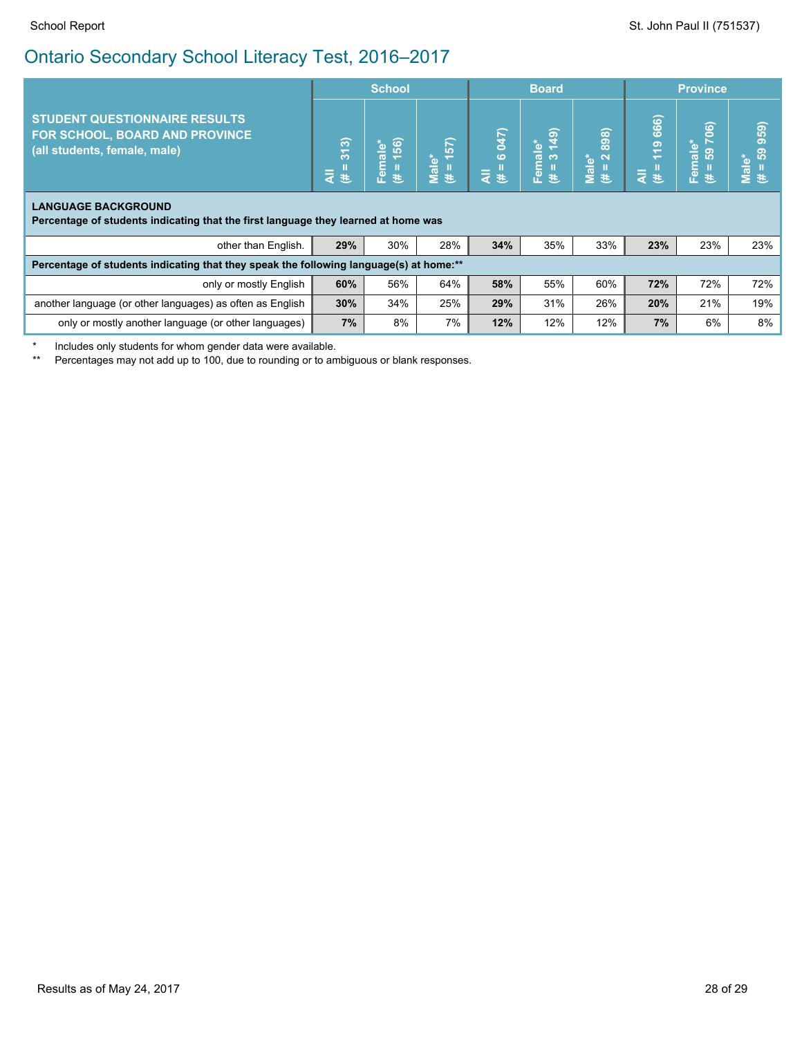| <b>STUDENT QUESTIONNAIRE RESULTS</b><br>FOR SCHOOL, BOARD AND PROVINCE<br>(all students, female, male)           |     | <b>School</b>                    |                               |                     | <b>Board</b>                                             |                                                                      |                                                        | <b>Province</b>                                       |                                     |  |
|------------------------------------------------------------------------------------------------------------------|-----|----------------------------------|-------------------------------|---------------------|----------------------------------------------------------|----------------------------------------------------------------------|--------------------------------------------------------|-------------------------------------------------------|-------------------------------------|--|
|                                                                                                                  |     | 56)<br>$i$ male $\ast$<br>운<br>巷 | $\overline{57}$<br>Male*<br>违 | $(7 + 6)$ 047)<br>₹ | $\overline{19}$<br>$\frac{4}{5}$<br>$\infty$<br>Fem<br>巷 | 898)<br>$\mathbf{\Omega}$<br>ÝЪ.<br>$\overline{\mathfrak{a}}$<br>ž ₹ | 666)<br><u>ဇ</u><br>$\overline{\phantom{0}}$<br>₹<br>进 | බ<br>Õ<br>male*<br>69<br>$\overline{\mathbf{e}}$<br>苤 | 59)<br>$\sigma$<br>Male*<br>(# = 59 |  |
| <b>LANGUAGE BACKGROUND</b><br>Percentage of students indicating that the first language they learned at home was |     |                                  |                               |                     |                                                          |                                                                      |                                                        |                                                       |                                     |  |
| other than English.                                                                                              | 29% | 30%                              | 28%                           | 34%                 | 35%                                                      | 33%                                                                  | 23%                                                    | 23%                                                   | 23%                                 |  |
| Percentage of students indicating that they speak the following language(s) at home:**                           |     |                                  |                               |                     |                                                          |                                                                      |                                                        |                                                       |                                     |  |
| only or mostly English                                                                                           | 60% | 56%                              | 64%                           | 58%                 | 55%                                                      | 60%                                                                  | 72%                                                    | 72%                                                   | 72%                                 |  |
| another language (or other languages) as often as English                                                        | 30% | 34%                              | 25%                           | 29%                 | 31%                                                      | 26%                                                                  | 20%                                                    | 21%                                                   | 19%                                 |  |
| only or mostly another language (or other languages)                                                             | 7%  | 8%                               | 7%                            | 12%                 | 12%                                                      | 12%                                                                  | 7%                                                     | 6%                                                    | 8%                                  |  |

Includes only students for whom gender data were available.

\*\* Percentages may not add up to 100, due to rounding or to ambiguous or blank responses.